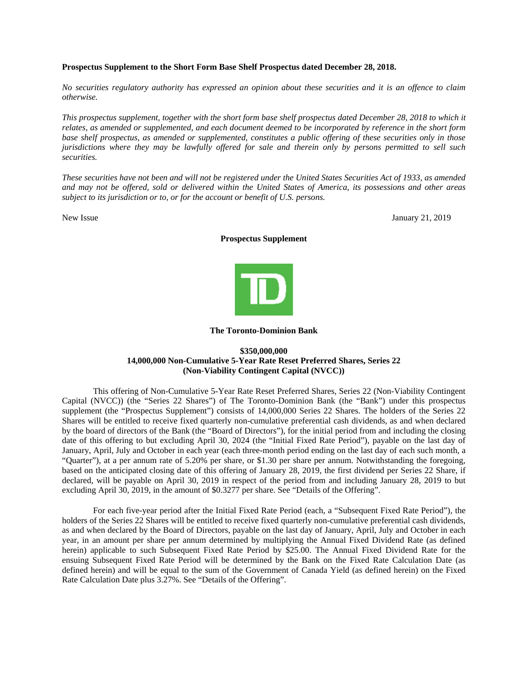### **Prospectus Supplement to the Short Form Base Shelf Prospectus dated December 28, 2018.**

*No securities regulatory authority has expressed an opinion about these securities and it is an offence to claim otherwise.* 

*This prospectus supplement, together with the short form base shelf prospectus dated December 28, 2018 to which it relates, as amended or supplemented, and each document deemed to be incorporated by reference in the short form base shelf prospectus, as amended or supplemented, constitutes a public offering of these securities only in those jurisdictions where they may be lawfully offered for sale and therein only by persons permitted to sell such securities.* 

*These securities have not been and will not be registered under the United States Securities Act of 1933, as amended and may not be offered, sold or delivered within the United States of America, its possessions and other areas subject to its jurisdiction or to, or for the account or benefit of U.S. persons.* 

New Issue January 21, 2019

#### **Prospectus Supplement**



#### **The Toronto-Dominion Bank**

## **\$350,000,000 14,000,000 Non-Cumulative 5-Year Rate Reset Preferred Shares, Series 22 (Non-Viability Contingent Capital (NVCC))**

This offering of Non-Cumulative 5-Year Rate Reset Preferred Shares, Series 22 (Non-Viability Contingent Capital (NVCC)) (the "Series 22 Shares") of The Toronto-Dominion Bank (the "Bank") under this prospectus supplement (the "Prospectus Supplement") consists of 14,000,000 Series 22 Shares. The holders of the Series 22 Shares will be entitled to receive fixed quarterly non-cumulative preferential cash dividends, as and when declared by the board of directors of the Bank (the "Board of Directors"), for the initial period from and including the closing date of this offering to but excluding April 30, 2024 (the "Initial Fixed Rate Period"), payable on the last day of January, April, July and October in each year (each three-month period ending on the last day of each such month, a "Quarter"), at a per annum rate of 5.20% per share, or \$1.30 per share per annum. Notwithstanding the foregoing, based on the anticipated closing date of this offering of January 28, 2019, the first dividend per Series 22 Share, if declared, will be payable on April 30, 2019 in respect of the period from and including January 28, 2019 to but excluding April 30, 2019, in the amount of \$0.3277 per share. See "Details of the Offering".

For each five-year period after the Initial Fixed Rate Period (each, a "Subsequent Fixed Rate Period"), the holders of the Series 22 Shares will be entitled to receive fixed quarterly non-cumulative preferential cash dividends, as and when declared by the Board of Directors, payable on the last day of January, April, July and October in each year, in an amount per share per annum determined by multiplying the Annual Fixed Dividend Rate (as defined herein) applicable to such Subsequent Fixed Rate Period by \$25.00. The Annual Fixed Dividend Rate for the ensuing Subsequent Fixed Rate Period will be determined by the Bank on the Fixed Rate Calculation Date (as defined herein) and will be equal to the sum of the Government of Canada Yield (as defined herein) on the Fixed Rate Calculation Date plus 3.27%. See "Details of the Offering".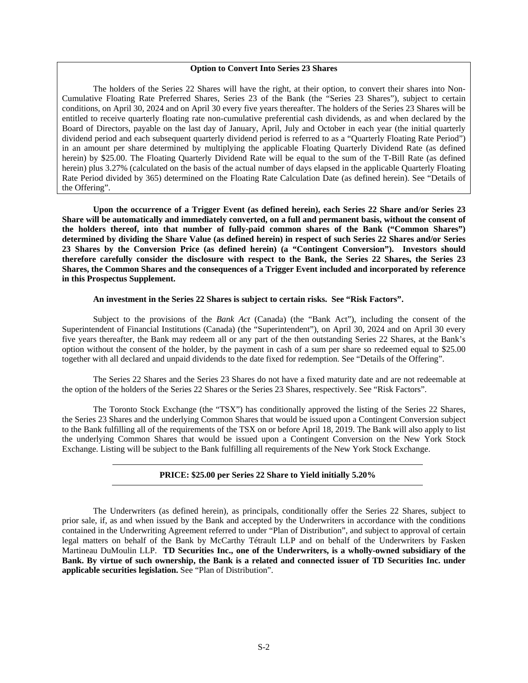### **Option to Convert Into Series 23 Shares**

The holders of the Series 22 Shares will have the right, at their option, to convert their shares into Non-Cumulative Floating Rate Preferred Shares, Series 23 of the Bank (the "Series 23 Shares"), subject to certain conditions, on April 30, 2024 and on April 30 every five years thereafter. The holders of the Series 23 Shares will be entitled to receive quarterly floating rate non-cumulative preferential cash dividends, as and when declared by the Board of Directors, payable on the last day of January, April, July and October in each year (the initial quarterly dividend period and each subsequent quarterly dividend period is referred to as a "Quarterly Floating Rate Period") in an amount per share determined by multiplying the applicable Floating Quarterly Dividend Rate (as defined herein) by \$25.00. The Floating Quarterly Dividend Rate will be equal to the sum of the T-Bill Rate (as defined herein) plus 3.27% (calculated on the basis of the actual number of days elapsed in the applicable Quarterly Floating Rate Period divided by 365) determined on the Floating Rate Calculation Date (as defined herein). See "Details of the Offering".

**Upon the occurrence of a Trigger Event (as defined herein), each Series 22 Share and/or Series 23 Share will be automatically and immediately converted, on a full and permanent basis, without the consent of the holders thereof, into that number of fully-paid common shares of the Bank ("Common Shares") determined by dividing the Share Value (as defined herein) in respect of such Series 22 Shares and/or Series 23 Shares by the Conversion Price (as defined herein) (a "Contingent Conversion"). Investors should therefore carefully consider the disclosure with respect to the Bank, the Series 22 Shares, the Series 23 Shares, the Common Shares and the consequences of a Trigger Event included and incorporated by reference in this Prospectus Supplement.** 

## **An investment in the Series 22 Shares is subject to certain risks. See "Risk Factors".**

Subject to the provisions of the *Bank Act* (Canada) (the "Bank Act"), including the consent of the Superintendent of Financial Institutions (Canada) (the "Superintendent"), on April 30, 2024 and on April 30 every five years thereafter, the Bank may redeem all or any part of the then outstanding Series 22 Shares, at the Bank's option without the consent of the holder, by the payment in cash of a sum per share so redeemed equal to \$25.00 together with all declared and unpaid dividends to the date fixed for redemption. See "Details of the Offering".

The Series 22 Shares and the Series 23 Shares do not have a fixed maturity date and are not redeemable at the option of the holders of the Series 22 Shares or the Series 23 Shares, respectively. See "Risk Factors".

The Toronto Stock Exchange (the "TSX") has conditionally approved the listing of the Series 22 Shares, the Series 23 Shares and the underlying Common Shares that would be issued upon a Contingent Conversion subject to the Bank fulfilling all of the requirements of the TSX on or before April 18, 2019. The Bank will also apply to list the underlying Common Shares that would be issued upon a Contingent Conversion on the New York Stock Exchange. Listing will be subject to the Bank fulfilling all requirements of the New York Stock Exchange.

## **PRICE: \$25.00 per Series 22 Share to Yield initially 5.20%**

The Underwriters (as defined herein), as principals, conditionally offer the Series 22 Shares, subject to prior sale, if, as and when issued by the Bank and accepted by the Underwriters in accordance with the conditions contained in the Underwriting Agreement referred to under "Plan of Distribution", and subject to approval of certain legal matters on behalf of the Bank by McCarthy Tétrault LLP and on behalf of the Underwriters by Fasken Martineau DuMoulin LLP. **TD Securities Inc., one of the Underwriters, is a wholly-owned subsidiary of the Bank. By virtue of such ownership, the Bank is a related and connected issuer of TD Securities Inc. under applicable securities legislation.** See "Plan of Distribution".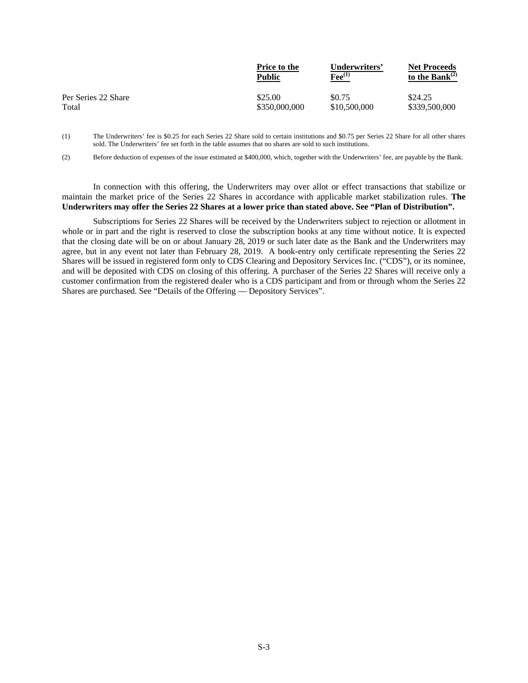|                     | <b>Price to the</b> | Underwriters'            | <b>Net Proceeds</b>  |
|---------------------|---------------------|--------------------------|----------------------|
|                     | Public              | $\mathbf{F}$ ee $^{(1)}$ | to the Bank $^{(2)}$ |
| Per Series 22 Share | \$25.00             | \$0.75                   | \$24.25              |
| Total               | \$350,000,000       | \$10,500,000             | \$339,500,000        |

(1) The Underwriters' fee is \$0.25 for each Series 22 Share sold to certain institutions and \$0.75 per Series 22 Share for all other shares sold. The Underwriters' fee set forth in the table assumes that no shares are sold to such institutions.

(2) Before deduction of expenses of the issue estimated at \$400,000, which, together with the Underwriters' fee, are payable by the Bank.

In connection with this offering, the Underwriters may over allot or effect transactions that stabilize or maintain the market price of the Series 22 Shares in accordance with applicable market stabilization rules. **The Underwriters may offer the Series 22 Shares at a lower price than stated above. See "Plan of Distribution".** 

Subscriptions for Series 22 Shares will be received by the Underwriters subject to rejection or allotment in whole or in part and the right is reserved to close the subscription books at any time without notice. It is expected that the closing date will be on or about January 28, 2019 or such later date as the Bank and the Underwriters may agree, but in any event not later than February 28, 2019. A book-entry only certificate representing the Series 22 Shares will be issued in registered form only to CDS Clearing and Depository Services Inc. ("CDS"), or its nominee, and will be deposited with CDS on closing of this offering. A purchaser of the Series 22 Shares will receive only a customer confirmation from the registered dealer who is a CDS participant and from or through whom the Series 22 Shares are purchased. See "Details of the Offering — Depository Services".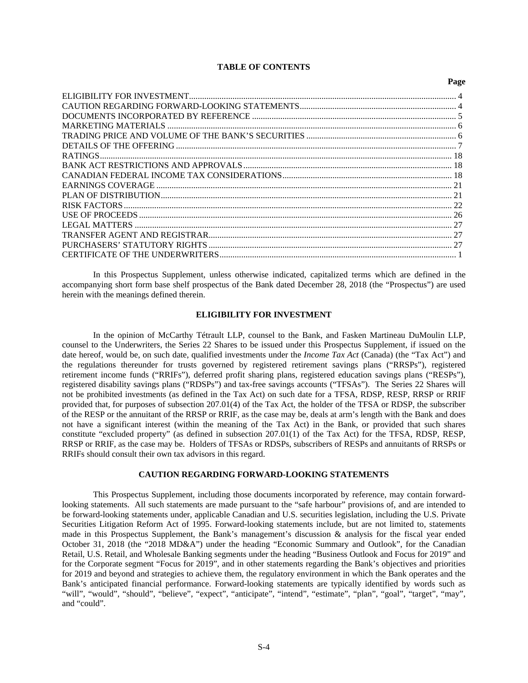## **TABLE OF CONTENTS**

| Page |
|------|
|      |
|      |
|      |
|      |
|      |
|      |
|      |
|      |
|      |
|      |
|      |
|      |
|      |
|      |
|      |
|      |
|      |

In this Prospectus Supplement, unless otherwise indicated, capitalized terms which are defined in the accompanying short form base shelf prospectus of the Bank dated December 28, 2018 (the "Prospectus") are used herein with the meanings defined therein.

#### **ELIGIBILITY FOR INVESTMENT**

In the opinion of McCarthy Tétrault LLP, counsel to the Bank, and Fasken Martineau DuMoulin LLP, counsel to the Underwriters, the Series 22 Shares to be issued under this Prospectus Supplement, if issued on the date hereof, would be, on such date, qualified investments under the *Income Tax Act* (Canada) (the "Tax Act") and the regulations thereunder for trusts governed by registered retirement savings plans ("RRSPs"), registered retirement income funds ("RRIFs"), deferred profit sharing plans, registered education savings plans ("RESPs"), registered disability savings plans ("RDSPs") and tax-free savings accounts ("TFSAs"). The Series 22 Shares will not be prohibited investments (as defined in the Tax Act) on such date for a TFSA, RDSP, RESP, RRSP or RRIF provided that, for purposes of subsection 207.01(4) of the Tax Act, the holder of the TFSA or RDSP, the subscriber of the RESP or the annuitant of the RRSP or RRIF, as the case may be, deals at arm's length with the Bank and does not have a significant interest (within the meaning of the Tax Act) in the Bank, or provided that such shares constitute "excluded property" (as defined in subsection 207.01(1) of the Tax Act) for the TFSA, RDSP, RESP, RRSP or RRIF, as the case may be. Holders of TFSAs or RDSPs, subscribers of RESPs and annuitants of RRSPs or RRIFs should consult their own tax advisors in this regard.

### **CAUTION REGARDING FORWARD-LOOKING STATEMENTS**

This Prospectus Supplement, including those documents incorporated by reference, may contain forwardlooking statements. All such statements are made pursuant to the "safe harbour" provisions of, and are intended to be forward-looking statements under, applicable Canadian and U.S. securities legislation, including the U.S. Private Securities Litigation Reform Act of 1995. Forward-looking statements include, but are not limited to, statements made in this Prospectus Supplement, the Bank's management's discussion & analysis for the fiscal year ended October 31, 2018 (the "2018 MD&A") under the heading "Economic Summary and Outlook", for the Canadian Retail, U.S. Retail, and Wholesale Banking segments under the heading "Business Outlook and Focus for 2019" and for the Corporate segment "Focus for 2019", and in other statements regarding the Bank's objectives and priorities for 2019 and beyond and strategies to achieve them, the regulatory environment in which the Bank operates and the Bank's anticipated financial performance. Forward-looking statements are typically identified by words such as "will", "would", "should", "believe", "expect", "anticipate", "intend", "estimate", "plan", "goal", "target", "may", and "could".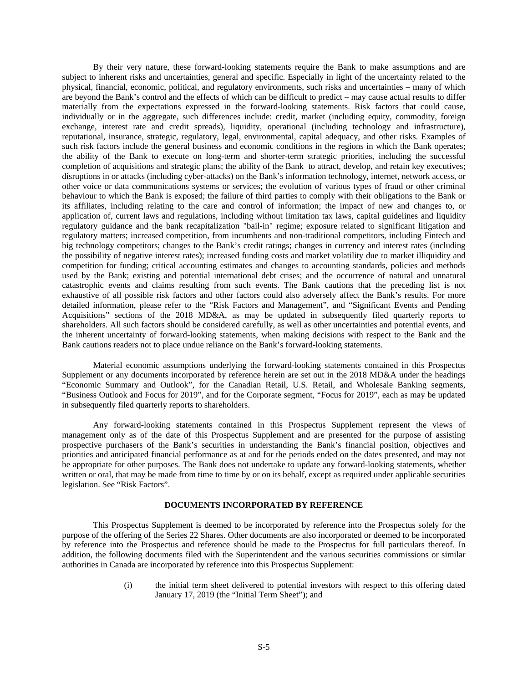By their very nature, these forward-looking statements require the Bank to make assumptions and are subject to inherent risks and uncertainties, general and specific. Especially in light of the uncertainty related to the physical, financial, economic, political, and regulatory environments, such risks and uncertainties – many of which are beyond the Bank's control and the effects of which can be difficult to predict – may cause actual results to differ materially from the expectations expressed in the forward-looking statements. Risk factors that could cause, individually or in the aggregate, such differences include: credit, market (including equity, commodity, foreign exchange, interest rate and credit spreads), liquidity, operational (including technology and infrastructure), reputational, insurance, strategic, regulatory, legal, environmental, capital adequacy, and other risks. Examples of such risk factors include the general business and economic conditions in the regions in which the Bank operates; the ability of the Bank to execute on long-term and shorter-term strategic priorities, including the successful completion of acquisitions and strategic plans; the ability of the Bank to attract, develop, and retain key executives; disruptions in or attacks (including cyber-attacks) on the Bank's information technology, internet, network access, or other voice or data communications systems or services; the evolution of various types of fraud or other criminal behaviour to which the Bank is exposed; the failure of third parties to comply with their obligations to the Bank or its affiliates, including relating to the care and control of information; the impact of new and changes to, or application of, current laws and regulations, including without limitation tax laws, capital guidelines and liquidity regulatory guidance and the bank recapitalization "bail-in" regime; exposure related to significant litigation and regulatory matters; increased competition, from incumbents and non-traditional competitors, including Fintech and big technology competitors; changes to the Bank's credit ratings; changes in currency and interest rates (including the possibility of negative interest rates); increased funding costs and market volatility due to market illiquidity and competition for funding; critical accounting estimates and changes to accounting standards, policies and methods used by the Bank; existing and potential international debt crises; and the occurrence of natural and unnatural catastrophic events and claims resulting from such events. The Bank cautions that the preceding list is not exhaustive of all possible risk factors and other factors could also adversely affect the Bank's results. For more detailed information, please refer to the "Risk Factors and Management", and "Significant Events and Pending Acquisitions" sections of the 2018 MD&A, as may be updated in subsequently filed quarterly reports to shareholders. All such factors should be considered carefully, as well as other uncertainties and potential events, and the inherent uncertainty of forward-looking statements, when making decisions with respect to the Bank and the Bank cautions readers not to place undue reliance on the Bank's forward-looking statements.

Material economic assumptions underlying the forward-looking statements contained in this Prospectus Supplement or any documents incorporated by reference herein are set out in the 2018 MD&A under the headings "Economic Summary and Outlook", for the Canadian Retail, U.S. Retail, and Wholesale Banking segments, "Business Outlook and Focus for 2019", and for the Corporate segment, "Focus for 2019", each as may be updated in subsequently filed quarterly reports to shareholders.

Any forward-looking statements contained in this Prospectus Supplement represent the views of management only as of the date of this Prospectus Supplement and are presented for the purpose of assisting prospective purchasers of the Bank's securities in understanding the Bank's financial position, objectives and priorities and anticipated financial performance as at and for the periods ended on the dates presented, and may not be appropriate for other purposes. The Bank does not undertake to update any forward-looking statements, whether written or oral, that may be made from time to time by or on its behalf, except as required under applicable securities legislation. See "Risk Factors".

## **DOCUMENTS INCORPORATED BY REFERENCE**

This Prospectus Supplement is deemed to be incorporated by reference into the Prospectus solely for the purpose of the offering of the Series 22 Shares. Other documents are also incorporated or deemed to be incorporated by reference into the Prospectus and reference should be made to the Prospectus for full particulars thereof. In addition, the following documents filed with the Superintendent and the various securities commissions or similar authorities in Canada are incorporated by reference into this Prospectus Supplement:

> (i) the initial term sheet delivered to potential investors with respect to this offering dated January 17, 2019 (the "Initial Term Sheet"); and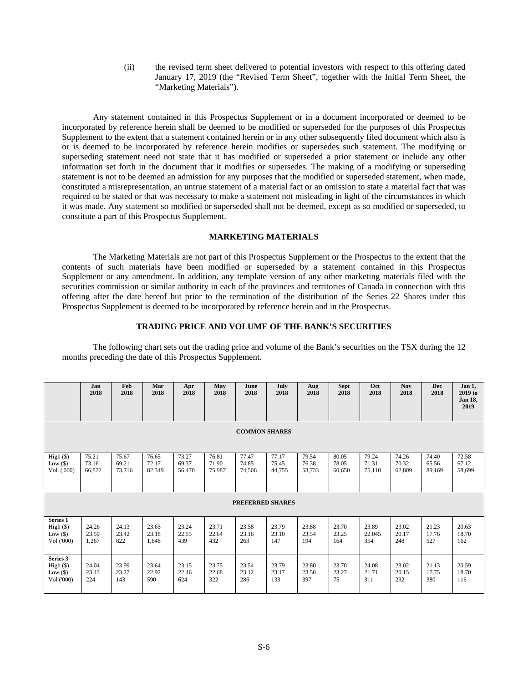(ii) the revised term sheet delivered to potential investors with respect to this offering dated January 17, 2019 (the "Revised Term Sheet", together with the Initial Term Sheet, the "Marketing Materials").

Any statement contained in this Prospectus Supplement or in a document incorporated or deemed to be incorporated by reference herein shall be deemed to be modified or superseded for the purposes of this Prospectus Supplement to the extent that a statement contained herein or in any other subsequently filed document which also is or is deemed to be incorporated by reference herein modifies or supersedes such statement. The modifying or superseding statement need not state that it has modified or superseded a prior statement or include any other information set forth in the document that it modifies or supersedes. The making of a modifying or superseding statement is not to be deemed an admission for any purposes that the modified or superseded statement, when made, constituted a misrepresentation, an untrue statement of a material fact or an omission to state a material fact that was required to be stated or that was necessary to make a statement not misleading in light of the circumstances in which it was made. Any statement so modified or superseded shall not be deemed, except as so modified or superseded, to constitute a part of this Prospectus Supplement.

## **MARKETING MATERIALS**

The Marketing Materials are not part of this Prospectus Supplement or the Prospectus to the extent that the contents of such materials have been modified or superseded by a statement contained in this Prospectus Supplement or any amendment. In addition, any template version of any other marketing materials filed with the securities commission or similar authority in each of the provinces and territories of Canada in connection with this offering after the date hereof but prior to the termination of the distribution of the Series 22 Shares under this Prospectus Supplement is deemed to be incorporated by reference herein and in the Prospectus.

# **TRADING PRICE AND VOLUME OF THE BANK'S SECURITIES**

The following chart sets out the trading price and volume of the Bank's securities on the TSX during the 12 months preceding the date of this Prospectus Supplement.

|                                                     | Jan<br>2018              | Feb<br>2018              | Mar<br>2018              | Apr<br>2018              | May<br>2018              | June<br>2018             | July<br>2018             | Aug<br>2018              | <b>Sept</b><br>2018      | Oct<br>2018              | <b>Nov</b><br>2018       | Dec<br>2018              | Jan 1,<br>2019 to<br>Jan 18,<br>2019 |
|-----------------------------------------------------|--------------------------|--------------------------|--------------------------|--------------------------|--------------------------|--------------------------|--------------------------|--------------------------|--------------------------|--------------------------|--------------------------|--------------------------|--------------------------------------|
| <b>COMMON SHARES</b>                                |                          |                          |                          |                          |                          |                          |                          |                          |                          |                          |                          |                          |                                      |
| High (\$)<br>Low $(\$)$<br>Vol. ('000)              | 75.21<br>73.16<br>66,822 | 75.67<br>69.21<br>73,716 | 76.65<br>72.17<br>82,349 | 73.27<br>69.37<br>56,470 | 76.81<br>71.90<br>75,987 | 77.47<br>74.85<br>74,506 | 77.17<br>75.45<br>44,755 | 79.54<br>76.38<br>53,733 | 80.05<br>78.05<br>60,650 | 79.24<br>71.31<br>75,110 | 74.26<br>70.32<br>62,809 | 74.40<br>65.56<br>89,169 | 72.58<br>67.12<br>58,699             |
|                                                     | <b>PREFERRED SHARES</b>  |                          |                          |                          |                          |                          |                          |                          |                          |                          |                          |                          |                                      |
| Series 1<br>High $(\$)$<br>Low $(\$)$<br>Vol ('000) | 24.26<br>23.59<br>1,267  | 24.13<br>23.42<br>822    | 23.65<br>23.18<br>1.648  | 23.24<br>22.55<br>439    | 23.71<br>22.64<br>432    | 23.58<br>23.16<br>263    | 23.79<br>23.10<br>147    | 23.88<br>23.54<br>194    | 23.70<br>23.25<br>164    | 23.89<br>22.045<br>354   | 23.02<br>20.17<br>248    | 21.23<br>17.76<br>527    | 20.63<br>18.70<br>162                |
| Series 3<br>High $(\$)$<br>Low $(\$)$<br>Vol ('000) | 24.04<br>23.43<br>224    | 23.99<br>23.27<br>143    | 23.64<br>22.92<br>590    | 23.15<br>22.46<br>624    | 23.75<br>22.68<br>322    | 23.54<br>23.12<br>286    | 23.79<br>23.17<br>133    | 23.80<br>23.50<br>397    | 23.70<br>23.27<br>75     | 24.08<br>21.71<br>311    | 23.02<br>20.15<br>232    | 21.13<br>17.75<br>380    | 20.59<br>18.70<br>116                |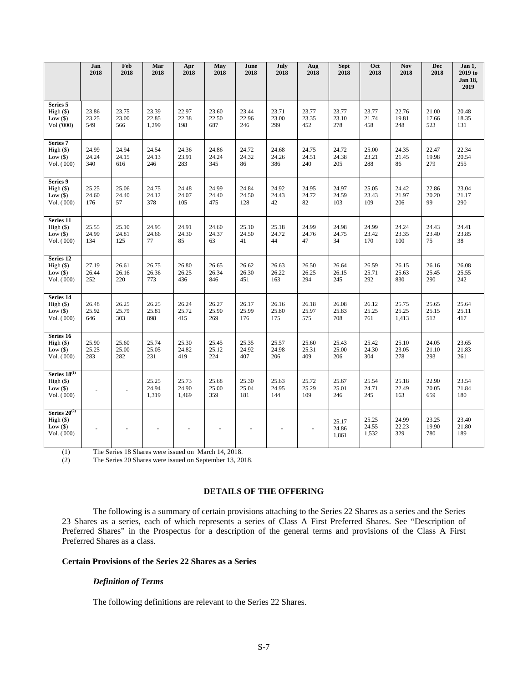|                                                             | Jan<br>2018           | Feb<br>2018           | Mar<br>2018             | Apr<br>2018             | May<br>2018           | June<br>2018          | July<br>2018          | Aug<br>2018           | <b>Sept</b><br>2018     | Oct<br>2018             | <b>Nov</b><br>2018      | <b>Dec</b><br>2018    | Jan 1,<br>2019 to<br>Jan 18,<br>2019 |
|-------------------------------------------------------------|-----------------------|-----------------------|-------------------------|-------------------------|-----------------------|-----------------------|-----------------------|-----------------------|-------------------------|-------------------------|-------------------------|-----------------------|--------------------------------------|
| Series 5<br>High (\$)<br>Low $(\$)$                         | 23.86<br>23.25        | 23.75<br>23.00        | 23.39<br>22.85          | 22.97<br>22.38          | 23.60<br>22.50        | 23.44<br>22.96        | 23.71<br>23.00        | 23.77<br>23.35        | 23.77<br>23.10          | 23.77<br>21.74          | 22.76<br>19.81          | 21.00<br>17.66        | 20.48<br>18.35                       |
| Vol ('000)<br>Series <sub>7</sub>                           | 549                   | 566                   | 1,299                   | 198                     | 687                   | 246                   | 299                   | 452                   | 278                     | 458                     | 248                     | 523                   | 131                                  |
| High (\$)<br>Low $(\$)$<br>Vol. ('000)                      | 24.99<br>24.24<br>340 | 24.94<br>24.15<br>616 | 24.54<br>24.13<br>246   | 24.36<br>23.91<br>283   | 24.86<br>24.24<br>345 | 24.72<br>24.32<br>86  | 24.68<br>24.26<br>386 | 24.75<br>24.51<br>240 | 24.72<br>24.38<br>205   | 25.00<br>23.21<br>288   | 24.35<br>21.45<br>86    | 22.47<br>19.98<br>279 | 22.34<br>20.54<br>255                |
| Series 9<br>High(\$)<br>Low $(\$)$<br>Vol. ('000)           | 25.25<br>24.60<br>176 | 25.06<br>24.40<br>57  | 24.75<br>24.12<br>378   | 24.48<br>24.07<br>105   | 24.99<br>24.40<br>475 | 24.84<br>24.50<br>128 | 24.92<br>24.43<br>42  | 24.95<br>24.72<br>82  | 24.97<br>24.59<br>103   | 25.05<br>23.43<br>109   | 24.42<br>21.97<br>206   | 22.86<br>20.20<br>99  | 23.04<br>21.17<br>290                |
| Series 11<br>High(\$)<br>Low $(\$)$<br>Vol. ('000)          | 25.55<br>24.99<br>134 | 25.10<br>24.81<br>125 | 24.95<br>24.66<br>77    | 24.91<br>24.30<br>85    | 24.60<br>24.37<br>63  | 25.10<br>24.50<br>41  | 25.18<br>24.72<br>44  | 24.99<br>24.76<br>47  | 24.98<br>24.75<br>34    | 24.99<br>23.42<br>170   | 24.24<br>23.35<br>100   | 24.43<br>23.40<br>75  | 24.41<br>23.85<br>38                 |
| Series 12<br>High (\$)<br>Low $(\$)$<br>Vol. ('000)         | 27.19<br>26.44<br>252 | 26.61<br>26.16<br>220 | 26.75<br>26.36<br>773   | 26.80<br>26.25<br>436   | 26.65<br>26.34<br>846 | 26.62<br>26.30<br>451 | 26.63<br>26.22<br>163 | 26.50<br>26.25<br>294 | 26.64<br>26.15<br>245   | 26.59<br>25.71<br>292   | 26.15<br>25.63<br>830   | 26.16<br>25.45<br>290 | 26.08<br>25.55<br>242                |
| Series 14<br>High (\$)<br>Low $(\$)$<br>Vol. ('000)         | 26.48<br>25.92<br>646 | 26.25<br>25.79<br>303 | 26.25<br>25.81<br>898   | 26.24<br>25.72<br>415   | 26.27<br>25.90<br>269 | 26.17<br>25.99<br>176 | 26.16<br>25.80<br>175 | 26.18<br>25.97<br>575 | 26.08<br>25.83<br>708   | 26.12<br>25.25<br>761   | 25.75<br>25.25<br>1,413 | 25.65<br>25.15<br>512 | 25.64<br>25.11<br>417                |
| Series 16<br>High (\$)<br>Low $($ )<br>Vol. ('000)          | 25.90<br>25.25<br>283 | 25.60<br>25.00<br>282 | 25.74<br>25.05<br>231   | 25.30<br>24.82<br>419   | 25.45<br>25.12<br>224 | 25.35<br>24.92<br>407 | 25.57<br>24.98<br>206 | 25.60<br>25.31<br>409 | 25.43<br>25.00<br>206   | 25.42<br>24.30<br>304   | 25.10<br>23.05<br>278   | 24.05<br>21.10<br>293 | 23.65<br>21.83<br>261                |
| Series $18^{(1)}$<br>High (\$)<br>Low $(\$)$<br>Vol. ('000) |                       |                       | 25.25<br>24.94<br>1,319 | 25.73<br>24.90<br>1,469 | 25.68<br>25.00<br>359 | 25.30<br>25.04<br>181 | 25.63<br>24.95<br>144 | 25.72<br>25.29<br>109 | 25.67<br>25.01<br>246   | 25.54<br>24.71<br>245   | 25.18<br>22.49<br>163   | 22.90<br>20.05<br>659 | 23.54<br>21.84<br>180                |
| Series $20^{(2)}$<br>High (\$)<br>Low $($ )<br>Vol. ('000)  |                       |                       |                         |                         |                       |                       |                       | ÷,                    | 25.17<br>24.86<br>1,861 | 25.25<br>24.55<br>1,532 | 24.99<br>22.23<br>329   | 23.25<br>19.90<br>780 | 23.40<br>21.80<br>189                |

(1) The Series 18 Shares were issued on March 14, 2018.<br>
(2) The Series 20 Shares were issued on September 13, 20

The Series 20 Shares were issued on September 13, 2018.

## **DETAILS OF THE OFFERING**

The following is a summary of certain provisions attaching to the Series 22 Shares as a series and the Series 23 Shares as a series, each of which represents a series of Class A First Preferred Shares. See "Description of Preferred Shares" in the Prospectus for a description of the general terms and provisions of the Class A First Preferred Shares as a class.

## **Certain Provisions of the Series 22 Shares as a Series**

### *Definition of Terms*

The following definitions are relevant to the Series 22 Shares.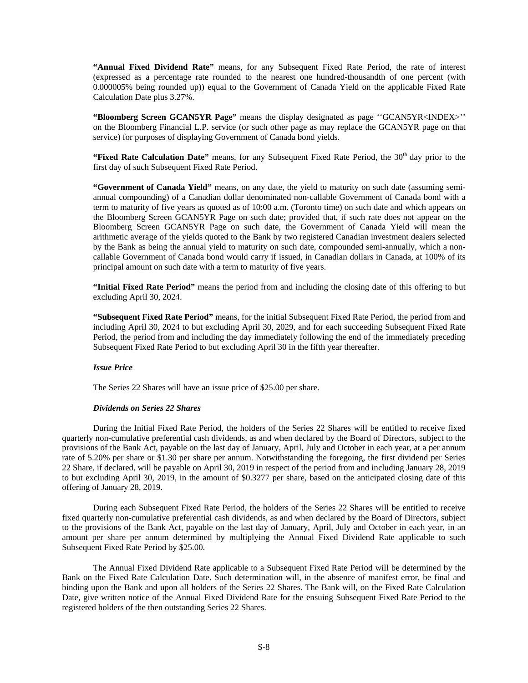**"Annual Fixed Dividend Rate"** means, for any Subsequent Fixed Rate Period, the rate of interest (expressed as a percentage rate rounded to the nearest one hundred-thousandth of one percent (with 0.000005% being rounded up)) equal to the Government of Canada Yield on the applicable Fixed Rate Calculation Date plus 3.27%.

**"Bloomberg Screen GCAN5YR Page"** means the display designated as page ''GCAN5YR<INDEX>'' on the Bloomberg Financial L.P. service (or such other page as may replace the GCAN5YR page on that service) for purposes of displaying Government of Canada bond yields.

"Fixed Rate Calculation Date" means, for any Subsequent Fixed Rate Period, the 30<sup>th</sup> day prior to the first day of such Subsequent Fixed Rate Period.

**"Government of Canada Yield"** means, on any date, the yield to maturity on such date (assuming semiannual compounding) of a Canadian dollar denominated non-callable Government of Canada bond with a term to maturity of five years as quoted as of 10:00 a.m. (Toronto time) on such date and which appears on the Bloomberg Screen GCAN5YR Page on such date; provided that, if such rate does not appear on the Bloomberg Screen GCAN5YR Page on such date, the Government of Canada Yield will mean the arithmetic average of the yields quoted to the Bank by two registered Canadian investment dealers selected by the Bank as being the annual yield to maturity on such date, compounded semi-annually, which a noncallable Government of Canada bond would carry if issued, in Canadian dollars in Canada, at 100% of its principal amount on such date with a term to maturity of five years.

**"Initial Fixed Rate Period"** means the period from and including the closing date of this offering to but excluding April 30, 2024.

**"Subsequent Fixed Rate Period"** means, for the initial Subsequent Fixed Rate Period, the period from and including April 30, 2024 to but excluding April 30, 2029, and for each succeeding Subsequent Fixed Rate Period, the period from and including the day immediately following the end of the immediately preceding Subsequent Fixed Rate Period to but excluding April 30 in the fifth year thereafter.

### *Issue Price*

The Series 22 Shares will have an issue price of \$25.00 per share.

### *Dividends on Series 22 Shares*

During the Initial Fixed Rate Period, the holders of the Series 22 Shares will be entitled to receive fixed quarterly non-cumulative preferential cash dividends, as and when declared by the Board of Directors, subject to the provisions of the Bank Act, payable on the last day of January, April, July and October in each year, at a per annum rate of 5.20% per share or \$1.30 per share per annum. Notwithstanding the foregoing, the first dividend per Series 22 Share, if declared, will be payable on April 30, 2019 in respect of the period from and including January 28, 2019 to but excluding April 30, 2019, in the amount of \$0.3277 per share, based on the anticipated closing date of this offering of January 28, 2019.

During each Subsequent Fixed Rate Period, the holders of the Series 22 Shares will be entitled to receive fixed quarterly non-cumulative preferential cash dividends, as and when declared by the Board of Directors, subject to the provisions of the Bank Act, payable on the last day of January, April, July and October in each year, in an amount per share per annum determined by multiplying the Annual Fixed Dividend Rate applicable to such Subsequent Fixed Rate Period by \$25.00.

The Annual Fixed Dividend Rate applicable to a Subsequent Fixed Rate Period will be determined by the Bank on the Fixed Rate Calculation Date. Such determination will, in the absence of manifest error, be final and binding upon the Bank and upon all holders of the Series 22 Shares. The Bank will, on the Fixed Rate Calculation Date, give written notice of the Annual Fixed Dividend Rate for the ensuing Subsequent Fixed Rate Period to the registered holders of the then outstanding Series 22 Shares.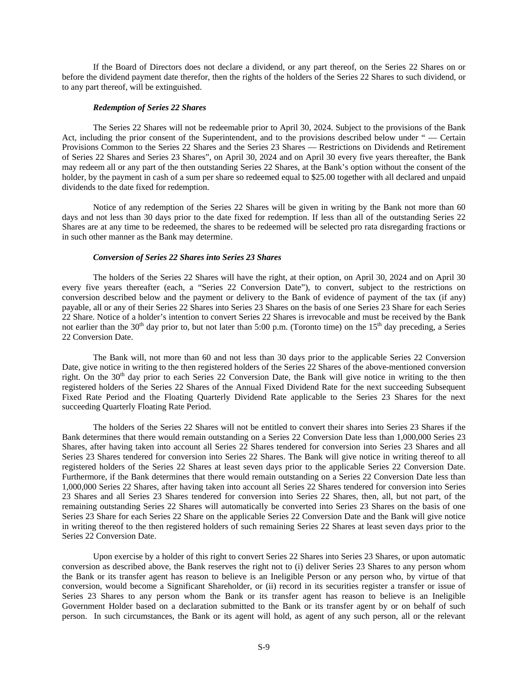If the Board of Directors does not declare a dividend, or any part thereof, on the Series 22 Shares on or before the dividend payment date therefor, then the rights of the holders of the Series 22 Shares to such dividend, or to any part thereof, will be extinguished.

#### *Redemption of Series 22 Shares*

The Series 22 Shares will not be redeemable prior to April 30, 2024. Subject to the provisions of the Bank Act, including the prior consent of the Superintendent, and to the provisions described below under " — Certain Provisions Common to the Series 22 Shares and the Series 23 Shares — Restrictions on Dividends and Retirement of Series 22 Shares and Series 23 Shares", on April 30, 2024 and on April 30 every five years thereafter, the Bank may redeem all or any part of the then outstanding Series 22 Shares, at the Bank's option without the consent of the holder, by the payment in cash of a sum per share so redeemed equal to \$25.00 together with all declared and unpaid dividends to the date fixed for redemption.

Notice of any redemption of the Series 22 Shares will be given in writing by the Bank not more than 60 days and not less than 30 days prior to the date fixed for redemption. If less than all of the outstanding Series 22 Shares are at any time to be redeemed, the shares to be redeemed will be selected pro rata disregarding fractions or in such other manner as the Bank may determine.

### *Conversion of Series 22 Shares into Series 23 Shares*

The holders of the Series 22 Shares will have the right, at their option, on April 30, 2024 and on April 30 every five years thereafter (each, a "Series 22 Conversion Date"), to convert, subject to the restrictions on conversion described below and the payment or delivery to the Bank of evidence of payment of the tax (if any) payable, all or any of their Series 22 Shares into Series 23 Shares on the basis of one Series 23 Share for each Series 22 Share. Notice of a holder's intention to convert Series 22 Shares is irrevocable and must be received by the Bank not earlier than the  $30<sup>th</sup>$  day prior to, but not later than 5:00 p.m. (Toronto time) on the  $15<sup>th</sup>$  day preceding, a Series 22 Conversion Date.

The Bank will, not more than 60 and not less than 30 days prior to the applicable Series 22 Conversion Date, give notice in writing to the then registered holders of the Series 22 Shares of the above-mentioned conversion right. On the  $30<sup>th</sup>$  day prior to each Series 22 Conversion Date, the Bank will give notice in writing to the then registered holders of the Series 22 Shares of the Annual Fixed Dividend Rate for the next succeeding Subsequent Fixed Rate Period and the Floating Quarterly Dividend Rate applicable to the Series 23 Shares for the next succeeding Quarterly Floating Rate Period.

The holders of the Series 22 Shares will not be entitled to convert their shares into Series 23 Shares if the Bank determines that there would remain outstanding on a Series 22 Conversion Date less than 1,000,000 Series 23 Shares, after having taken into account all Series 22 Shares tendered for conversion into Series 23 Shares and all Series 23 Shares tendered for conversion into Series 22 Shares. The Bank will give notice in writing thereof to all registered holders of the Series 22 Shares at least seven days prior to the applicable Series 22 Conversion Date. Furthermore, if the Bank determines that there would remain outstanding on a Series 22 Conversion Date less than 1,000,000 Series 22 Shares, after having taken into account all Series 22 Shares tendered for conversion into Series 23 Shares and all Series 23 Shares tendered for conversion into Series 22 Shares, then, all, but not part, of the remaining outstanding Series 22 Shares will automatically be converted into Series 23 Shares on the basis of one Series 23 Share for each Series 22 Share on the applicable Series 22 Conversion Date and the Bank will give notice in writing thereof to the then registered holders of such remaining Series 22 Shares at least seven days prior to the Series 22 Conversion Date.

Upon exercise by a holder of this right to convert Series 22 Shares into Series 23 Shares, or upon automatic conversion as described above, the Bank reserves the right not to (i) deliver Series 23 Shares to any person whom the Bank or its transfer agent has reason to believe is an Ineligible Person or any person who, by virtue of that conversion, would become a Significant Shareholder, or (ii) record in its securities register a transfer or issue of Series 23 Shares to any person whom the Bank or its transfer agent has reason to believe is an Ineligible Government Holder based on a declaration submitted to the Bank or its transfer agent by or on behalf of such person. In such circumstances, the Bank or its agent will hold, as agent of any such person, all or the relevant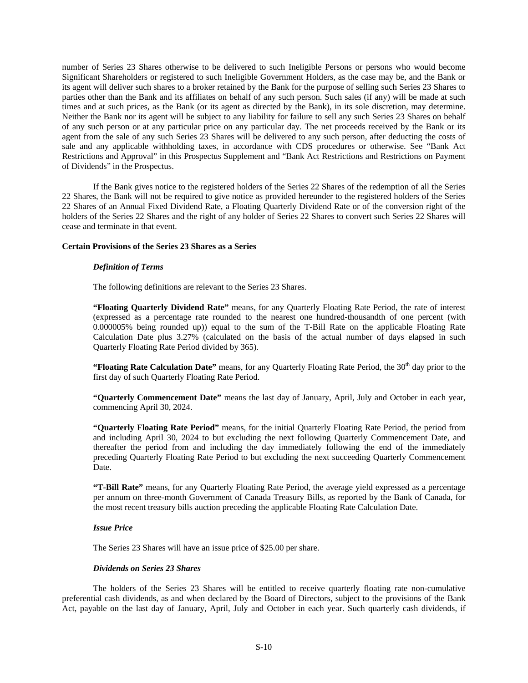number of Series 23 Shares otherwise to be delivered to such Ineligible Persons or persons who would become Significant Shareholders or registered to such Ineligible Government Holders, as the case may be, and the Bank or its agent will deliver such shares to a broker retained by the Bank for the purpose of selling such Series 23 Shares to parties other than the Bank and its affiliates on behalf of any such person. Such sales (if any) will be made at such times and at such prices, as the Bank (or its agent as directed by the Bank), in its sole discretion, may determine. Neither the Bank nor its agent will be subject to any liability for failure to sell any such Series 23 Shares on behalf of any such person or at any particular price on any particular day. The net proceeds received by the Bank or its agent from the sale of any such Series 23 Shares will be delivered to any such person, after deducting the costs of sale and any applicable withholding taxes, in accordance with CDS procedures or otherwise. See "Bank Act Restrictions and Approval" in this Prospectus Supplement and "Bank Act Restrictions and Restrictions on Payment of Dividends" in the Prospectus.

If the Bank gives notice to the registered holders of the Series 22 Shares of the redemption of all the Series 22 Shares, the Bank will not be required to give notice as provided hereunder to the registered holders of the Series 22 Shares of an Annual Fixed Dividend Rate, a Floating Quarterly Dividend Rate or of the conversion right of the holders of the Series 22 Shares and the right of any holder of Series 22 Shares to convert such Series 22 Shares will cease and terminate in that event.

### **Certain Provisions of the Series 23 Shares as a Series**

### *Definition of Terms*

The following definitions are relevant to the Series 23 Shares.

**"Floating Quarterly Dividend Rate"** means, for any Quarterly Floating Rate Period, the rate of interest (expressed as a percentage rate rounded to the nearest one hundred-thousandth of one percent (with 0.000005% being rounded up)) equal to the sum of the T-Bill Rate on the applicable Floating Rate Calculation Date plus 3.27% (calculated on the basis of the actual number of days elapsed in such Quarterly Floating Rate Period divided by 365).

"Floating Rate Calculation Date" means, for any Quarterly Floating Rate Period, the 30<sup>th</sup> day prior to the first day of such Quarterly Floating Rate Period.

**"Quarterly Commencement Date"** means the last day of January, April, July and October in each year, commencing April 30, 2024.

**"Quarterly Floating Rate Period"** means, for the initial Quarterly Floating Rate Period, the period from and including April 30, 2024 to but excluding the next following Quarterly Commencement Date, and thereafter the period from and including the day immediately following the end of the immediately preceding Quarterly Floating Rate Period to but excluding the next succeeding Quarterly Commencement Date.

**"T-Bill Rate"** means, for any Quarterly Floating Rate Period, the average yield expressed as a percentage per annum on three-month Government of Canada Treasury Bills, as reported by the Bank of Canada, for the most recent treasury bills auction preceding the applicable Floating Rate Calculation Date.

## *Issue Price*

The Series 23 Shares will have an issue price of \$25.00 per share.

## *Dividends on Series 23 Shares*

The holders of the Series 23 Shares will be entitled to receive quarterly floating rate non-cumulative preferential cash dividends, as and when declared by the Board of Directors, subject to the provisions of the Bank Act, payable on the last day of January, April, July and October in each year. Such quarterly cash dividends, if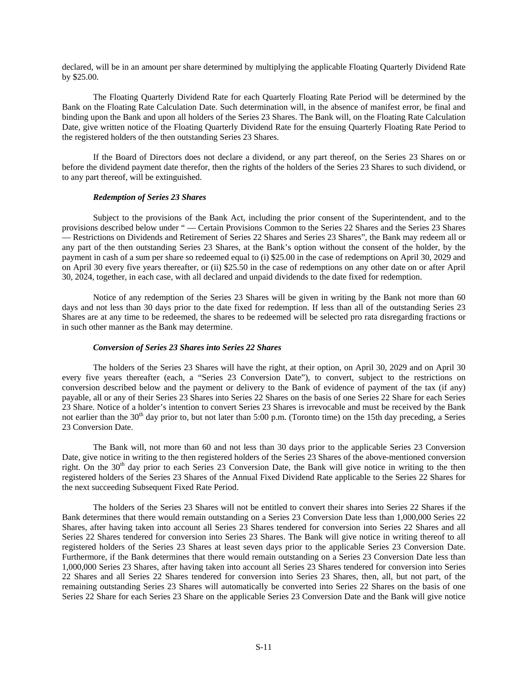declared, will be in an amount per share determined by multiplying the applicable Floating Quarterly Dividend Rate by \$25.00.

The Floating Quarterly Dividend Rate for each Quarterly Floating Rate Period will be determined by the Bank on the Floating Rate Calculation Date. Such determination will, in the absence of manifest error, be final and binding upon the Bank and upon all holders of the Series 23 Shares. The Bank will, on the Floating Rate Calculation Date, give written notice of the Floating Quarterly Dividend Rate for the ensuing Quarterly Floating Rate Period to the registered holders of the then outstanding Series 23 Shares.

If the Board of Directors does not declare a dividend, or any part thereof, on the Series 23 Shares on or before the dividend payment date therefor, then the rights of the holders of the Series 23 Shares to such dividend, or to any part thereof, will be extinguished.

### *Redemption of Series 23 Shares*

Subject to the provisions of the Bank Act, including the prior consent of the Superintendent, and to the provisions described below under " — Certain Provisions Common to the Series 22 Shares and the Series 23 Shares — Restrictions on Dividends and Retirement of Series 22 Shares and Series 23 Shares", the Bank may redeem all or any part of the then outstanding Series 23 Shares, at the Bank's option without the consent of the holder, by the payment in cash of a sum per share so redeemed equal to (i) \$25.00 in the case of redemptions on April 30, 2029 and on April 30 every five years thereafter, or (ii) \$25.50 in the case of redemptions on any other date on or after April 30, 2024, together, in each case, with all declared and unpaid dividends to the date fixed for redemption.

Notice of any redemption of the Series 23 Shares will be given in writing by the Bank not more than 60 days and not less than 30 days prior to the date fixed for redemption. If less than all of the outstanding Series 23 Shares are at any time to be redeemed, the shares to be redeemed will be selected pro rata disregarding fractions or in such other manner as the Bank may determine.

### *Conversion of Series 23 Shares into Series 22 Shares*

The holders of the Series 23 Shares will have the right, at their option, on April 30, 2029 and on April 30 every five years thereafter (each, a "Series 23 Conversion Date"), to convert, subject to the restrictions on conversion described below and the payment or delivery to the Bank of evidence of payment of the tax (if any) payable, all or any of their Series 23 Shares into Series 22 Shares on the basis of one Series 22 Share for each Series 23 Share. Notice of a holder's intention to convert Series 23 Shares is irrevocable and must be received by the Bank not earlier than the  $30<sup>th</sup>$  day prior to, but not later than 5:00 p.m. (Toronto time) on the 15th day preceding, a Series 23 Conversion Date.

The Bank will, not more than 60 and not less than 30 days prior to the applicable Series 23 Conversion Date, give notice in writing to the then registered holders of the Series 23 Shares of the above-mentioned conversion right. On the  $30<sup>th</sup>$  day prior to each Series 23 Conversion Date, the Bank will give notice in writing to the then registered holders of the Series 23 Shares of the Annual Fixed Dividend Rate applicable to the Series 22 Shares for the next succeeding Subsequent Fixed Rate Period.

The holders of the Series 23 Shares will not be entitled to convert their shares into Series 22 Shares if the Bank determines that there would remain outstanding on a Series 23 Conversion Date less than 1,000,000 Series 22 Shares, after having taken into account all Series 23 Shares tendered for conversion into Series 22 Shares and all Series 22 Shares tendered for conversion into Series 23 Shares. The Bank will give notice in writing thereof to all registered holders of the Series 23 Shares at least seven days prior to the applicable Series 23 Conversion Date. Furthermore, if the Bank determines that there would remain outstanding on a Series 23 Conversion Date less than 1,000,000 Series 23 Shares, after having taken into account all Series 23 Shares tendered for conversion into Series 22 Shares and all Series 22 Shares tendered for conversion into Series 23 Shares, then, all, but not part, of the remaining outstanding Series 23 Shares will automatically be converted into Series 22 Shares on the basis of one Series 22 Share for each Series 23 Share on the applicable Series 23 Conversion Date and the Bank will give notice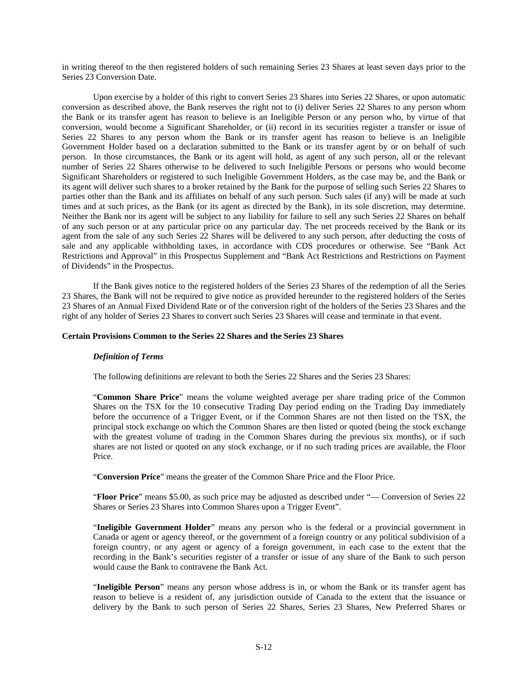in writing thereof to the then registered holders of such remaining Series 23 Shares at least seven days prior to the Series 23 Conversion Date.

Upon exercise by a holder of this right to convert Series 23 Shares into Series 22 Shares, or upon automatic conversion as described above, the Bank reserves the right not to (i) deliver Series 22 Shares to any person whom the Bank or its transfer agent has reason to believe is an Ineligible Person or any person who, by virtue of that conversion, would become a Significant Shareholder, or (ii) record in its securities register a transfer or issue of Series 22 Shares to any person whom the Bank or its transfer agent has reason to believe is an Ineligible Government Holder based on a declaration submitted to the Bank or its transfer agent by or on behalf of such person. In those circumstances, the Bank or its agent will hold, as agent of any such person, all or the relevant number of Series 22 Shares otherwise to be delivered to such Ineligible Persons or persons who would become Significant Shareholders or registered to such Ineligible Government Holders, as the case may be, and the Bank or its agent will deliver such shares to a broker retained by the Bank for the purpose of selling such Series 22 Shares to parties other than the Bank and its affiliates on behalf of any such person. Such sales (if any) will be made at such times and at such prices, as the Bank (or its agent as directed by the Bank), in its sole discretion, may determine. Neither the Bank nor its agent will be subject to any liability for failure to sell any such Series 22 Shares on behalf of any such person or at any particular price on any particular day. The net proceeds received by the Bank or its agent from the sale of any such Series 22 Shares will be delivered to any such person, after deducting the costs of sale and any applicable withholding taxes, in accordance with CDS procedures or otherwise. See "Bank Act Restrictions and Approval" in this Prospectus Supplement and "Bank Act Restrictions and Restrictions on Payment of Dividends" in the Prospectus.

If the Bank gives notice to the registered holders of the Series 23 Shares of the redemption of all the Series 23 Shares, the Bank will not be required to give notice as provided hereunder to the registered holders of the Series 23 Shares of an Annual Fixed Dividend Rate or of the conversion right of the holders of the Series 23 Shares and the right of any holder of Series 23 Shares to convert such Series 23 Shares will cease and terminate in that event.

### **Certain Provisions Common to the Series 22 Shares and the Series 23 Shares**

### *Definition of Terms*

The following definitions are relevant to both the Series 22 Shares and the Series 23 Shares:

"**Common Share Price**" means the volume weighted average per share trading price of the Common Shares on the TSX for the 10 consecutive Trading Day period ending on the Trading Day immediately before the occurrence of a Trigger Event, or if the Common Shares are not then listed on the TSX, the principal stock exchange on which the Common Shares are then listed or quoted (being the stock exchange with the greatest volume of trading in the Common Shares during the previous six months), or if such shares are not listed or quoted on any stock exchange, or if no such trading prices are available, the Floor Price.

"**Conversion Price**" means the greater of the Common Share Price and the Floor Price.

"**Floor Price**" means \$5.00, as such price may be adjusted as described under "— Conversion of Series 22 Shares or Series 23 Shares into Common Shares upon a Trigger Event".

"**Ineligible Government Holder**" means any person who is the federal or a provincial government in Canada or agent or agency thereof, or the government of a foreign country or any political subdivision of a foreign country, or any agent or agency of a foreign government, in each case to the extent that the recording in the Bank's securities register of a transfer or issue of any share of the Bank to such person would cause the Bank to contravene the Bank Act.

"**Ineligible Person**" means any person whose address is in, or whom the Bank or its transfer agent has reason to believe is a resident of, any jurisdiction outside of Canada to the extent that the issuance or delivery by the Bank to such person of Series 22 Shares, Series 23 Shares, New Preferred Shares or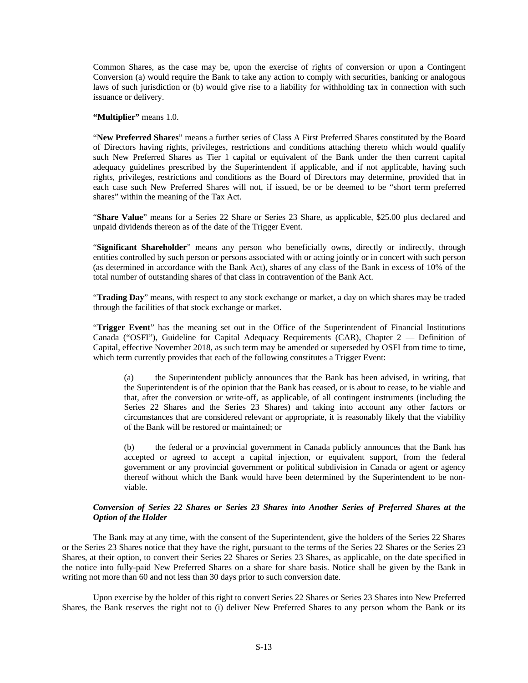Common Shares, as the case may be, upon the exercise of rights of conversion or upon a Contingent Conversion (a) would require the Bank to take any action to comply with securities, banking or analogous laws of such jurisdiction or (b) would give rise to a liability for withholding tax in connection with such issuance or delivery.

**"Multiplier"** means 1.0.

"**New Preferred Shares**" means a further series of Class A First Preferred Shares constituted by the Board of Directors having rights, privileges, restrictions and conditions attaching thereto which would qualify such New Preferred Shares as Tier 1 capital or equivalent of the Bank under the then current capital adequacy guidelines prescribed by the Superintendent if applicable, and if not applicable, having such rights, privileges, restrictions and conditions as the Board of Directors may determine, provided that in each case such New Preferred Shares will not, if issued, be or be deemed to be "short term preferred shares" within the meaning of the Tax Act.

"**Share Value**" means for a Series 22 Share or Series 23 Share, as applicable, \$25.00 plus declared and unpaid dividends thereon as of the date of the Trigger Event.

"**Significant Shareholder**" means any person who beneficially owns, directly or indirectly, through entities controlled by such person or persons associated with or acting jointly or in concert with such person (as determined in accordance with the Bank Act), shares of any class of the Bank in excess of 10% of the total number of outstanding shares of that class in contravention of the Bank Act.

"**Trading Day**" means, with respect to any stock exchange or market, a day on which shares may be traded through the facilities of that stock exchange or market.

"**Trigger Event**" has the meaning set out in the Office of the Superintendent of Financial Institutions Canada ("OSFI"), Guideline for Capital Adequacy Requirements (CAR), Chapter 2 — Definition of Capital, effective November 2018, as such term may be amended or superseded by OSFI from time to time, which term currently provides that each of the following constitutes a Trigger Event:

(a) the Superintendent publicly announces that the Bank has been advised, in writing, that the Superintendent is of the opinion that the Bank has ceased, or is about to cease, to be viable and that, after the conversion or write-off, as applicable, of all contingent instruments (including the Series 22 Shares and the Series 23 Shares) and taking into account any other factors or circumstances that are considered relevant or appropriate, it is reasonably likely that the viability of the Bank will be restored or maintained; or

(b) the federal or a provincial government in Canada publicly announces that the Bank has accepted or agreed to accept a capital injection, or equivalent support, from the federal government or any provincial government or political subdivision in Canada or agent or agency thereof without which the Bank would have been determined by the Superintendent to be nonviable.

## *Conversion of Series 22 Shares or Series 23 Shares into Another Series of Preferred Shares at the Option of the Holder*

The Bank may at any time, with the consent of the Superintendent, give the holders of the Series 22 Shares or the Series 23 Shares notice that they have the right, pursuant to the terms of the Series 22 Shares or the Series 23 Shares, at their option, to convert their Series 22 Shares or Series 23 Shares, as applicable, on the date specified in the notice into fully-paid New Preferred Shares on a share for share basis. Notice shall be given by the Bank in writing not more than 60 and not less than 30 days prior to such conversion date.

Upon exercise by the holder of this right to convert Series 22 Shares or Series 23 Shares into New Preferred Shares, the Bank reserves the right not to (i) deliver New Preferred Shares to any person whom the Bank or its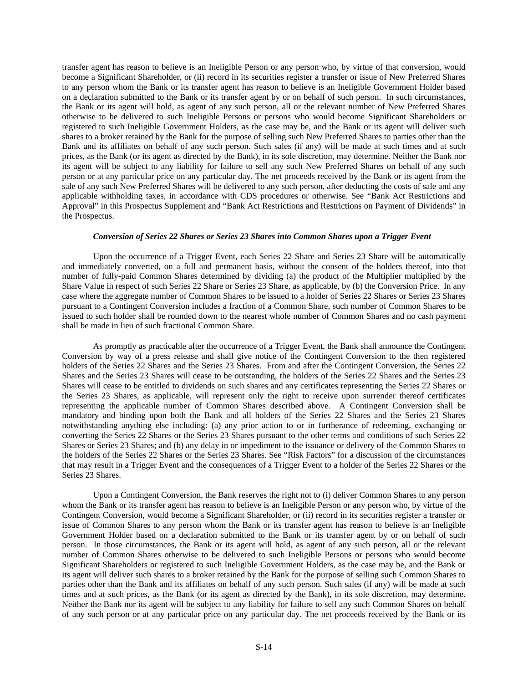transfer agent has reason to believe is an Ineligible Person or any person who, by virtue of that conversion, would become a Significant Shareholder, or (ii) record in its securities register a transfer or issue of New Preferred Shares to any person whom the Bank or its transfer agent has reason to believe is an Ineligible Government Holder based on a declaration submitted to the Bank or its transfer agent by or on behalf of such person. In such circumstances, the Bank or its agent will hold, as agent of any such person, all or the relevant number of New Preferred Shares otherwise to be delivered to such Ineligible Persons or persons who would become Significant Shareholders or registered to such Ineligible Government Holders, as the case may be, and the Bank or its agent will deliver such shares to a broker retained by the Bank for the purpose of selling such New Preferred Shares to parties other than the Bank and its affiliates on behalf of any such person. Such sales (if any) will be made at such times and at such prices, as the Bank (or its agent as directed by the Bank), in its sole discretion, may determine. Neither the Bank nor its agent will be subject to any liability for failure to sell any such New Preferred Shares on behalf of any such person or at any particular price on any particular day. The net proceeds received by the Bank or its agent from the sale of any such New Preferred Shares will be delivered to any such person, after deducting the costs of sale and any applicable withholding taxes, in accordance with CDS procedures or otherwise. See "Bank Act Restrictions and Approval" in this Prospectus Supplement and "Bank Act Restrictions and Restrictions on Payment of Dividends" in the Prospectus.

### *Conversion of Series 22 Shares or Series 23 Shares into Common Shares upon a Trigger Event*

Upon the occurrence of a Trigger Event, each Series 22 Share and Series 23 Share will be automatically and immediately converted, on a full and permanent basis, without the consent of the holders thereof, into that number of fully-paid Common Shares determined by dividing (a) the product of the Multiplier multiplied by the Share Value in respect of such Series 22 Share or Series 23 Share, as applicable, by (b) the Conversion Price. In any case where the aggregate number of Common Shares to be issued to a holder of Series 22 Shares or Series 23 Shares pursuant to a Contingent Conversion includes a fraction of a Common Share, such number of Common Shares to be issued to such holder shall be rounded down to the nearest whole number of Common Shares and no cash payment shall be made in lieu of such fractional Common Share.

As promptly as practicable after the occurrence of a Trigger Event, the Bank shall announce the Contingent Conversion by way of a press release and shall give notice of the Contingent Conversion to the then registered holders of the Series 22 Shares and the Series 23 Shares. From and after the Contingent Conversion, the Series 22 Shares and the Series 23 Shares will cease to be outstanding, the holders of the Series 22 Shares and the Series 23 Shares will cease to be entitled to dividends on such shares and any certificates representing the Series 22 Shares or the Series 23 Shares, as applicable, will represent only the right to receive upon surrender thereof certificates representing the applicable number of Common Shares described above. A Contingent Conversion shall be mandatory and binding upon both the Bank and all holders of the Series 22 Shares and the Series 23 Shares notwithstanding anything else including: (a) any prior action to or in furtherance of redeeming, exchanging or converting the Series 22 Shares or the Series 23 Shares pursuant to the other terms and conditions of such Series 22 Shares or Series 23 Shares; and (b) any delay in or impediment to the issuance or delivery of the Common Shares to the holders of the Series 22 Shares or the Series 23 Shares. See "Risk Factors" for a discussion of the circumstances that may result in a Trigger Event and the consequences of a Trigger Event to a holder of the Series 22 Shares or the Series 23 Shares.

Upon a Contingent Conversion, the Bank reserves the right not to (i) deliver Common Shares to any person whom the Bank or its transfer agent has reason to believe is an Ineligible Person or any person who, by virtue of the Contingent Conversion, would become a Significant Shareholder, or (ii) record in its securities register a transfer or issue of Common Shares to any person whom the Bank or its transfer agent has reason to believe is an Ineligible Government Holder based on a declaration submitted to the Bank or its transfer agent by or on behalf of such person. In those circumstances, the Bank or its agent will hold, as agent of any such person, all or the relevant number of Common Shares otherwise to be delivered to such Ineligible Persons or persons who would become Significant Shareholders or registered to such Ineligible Government Holders, as the case may be, and the Bank or its agent will deliver such shares to a broker retained by the Bank for the purpose of selling such Common Shares to parties other than the Bank and its affiliates on behalf of any such person. Such sales (if any) will be made at such times and at such prices, as the Bank (or its agent as directed by the Bank), in its sole discretion, may determine. Neither the Bank nor its agent will be subject to any liability for failure to sell any such Common Shares on behalf of any such person or at any particular price on any particular day. The net proceeds received by the Bank or its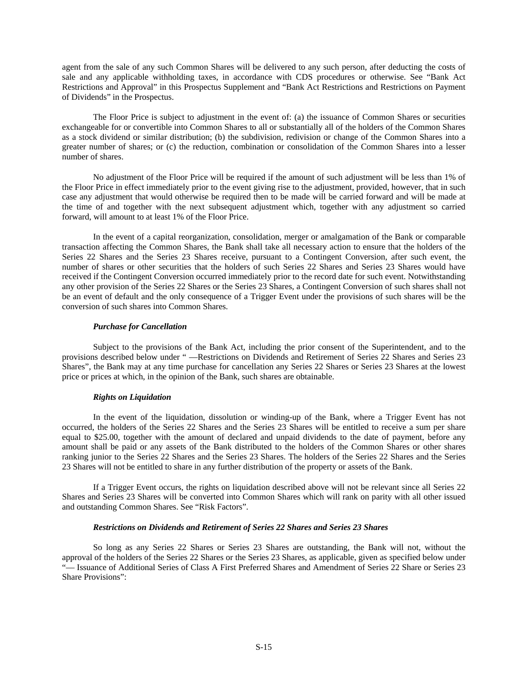agent from the sale of any such Common Shares will be delivered to any such person, after deducting the costs of sale and any applicable withholding taxes, in accordance with CDS procedures or otherwise. See "Bank Act Restrictions and Approval" in this Prospectus Supplement and "Bank Act Restrictions and Restrictions on Payment of Dividends" in the Prospectus.

The Floor Price is subject to adjustment in the event of: (a) the issuance of Common Shares or securities exchangeable for or convertible into Common Shares to all or substantially all of the holders of the Common Shares as a stock dividend or similar distribution; (b) the subdivision, redivision or change of the Common Shares into a greater number of shares; or (c) the reduction, combination or consolidation of the Common Shares into a lesser number of shares.

No adjustment of the Floor Price will be required if the amount of such adjustment will be less than 1% of the Floor Price in effect immediately prior to the event giving rise to the adjustment, provided, however, that in such case any adjustment that would otherwise be required then to be made will be carried forward and will be made at the time of and together with the next subsequent adjustment which, together with any adjustment so carried forward, will amount to at least 1% of the Floor Price.

In the event of a capital reorganization, consolidation, merger or amalgamation of the Bank or comparable transaction affecting the Common Shares, the Bank shall take all necessary action to ensure that the holders of the Series 22 Shares and the Series 23 Shares receive, pursuant to a Contingent Conversion, after such event, the number of shares or other securities that the holders of such Series 22 Shares and Series 23 Shares would have received if the Contingent Conversion occurred immediately prior to the record date for such event. Notwithstanding any other provision of the Series 22 Shares or the Series 23 Shares, a Contingent Conversion of such shares shall not be an event of default and the only consequence of a Trigger Event under the provisions of such shares will be the conversion of such shares into Common Shares.

## *Purchase for Cancellation*

Subject to the provisions of the Bank Act, including the prior consent of the Superintendent, and to the provisions described below under " —Restrictions on Dividends and Retirement of Series 22 Shares and Series 23 Shares", the Bank may at any time purchase for cancellation any Series 22 Shares or Series 23 Shares at the lowest price or prices at which, in the opinion of the Bank, such shares are obtainable.

## *Rights on Liquidation*

In the event of the liquidation, dissolution or winding-up of the Bank, where a Trigger Event has not occurred, the holders of the Series 22 Shares and the Series 23 Shares will be entitled to receive a sum per share equal to \$25.00, together with the amount of declared and unpaid dividends to the date of payment, before any amount shall be paid or any assets of the Bank distributed to the holders of the Common Shares or other shares ranking junior to the Series 22 Shares and the Series 23 Shares. The holders of the Series 22 Shares and the Series 23 Shares will not be entitled to share in any further distribution of the property or assets of the Bank.

If a Trigger Event occurs, the rights on liquidation described above will not be relevant since all Series 22 Shares and Series 23 Shares will be converted into Common Shares which will rank on parity with all other issued and outstanding Common Shares. See "Risk Factors".

## *Restrictions on Dividends and Retirement of Series 22 Shares and Series 23 Shares*

So long as any Series 22 Shares or Series 23 Shares are outstanding, the Bank will not, without the approval of the holders of the Series 22 Shares or the Series 23 Shares, as applicable, given as specified below under "— Issuance of Additional Series of Class A First Preferred Shares and Amendment of Series 22 Share or Series 23 Share Provisions":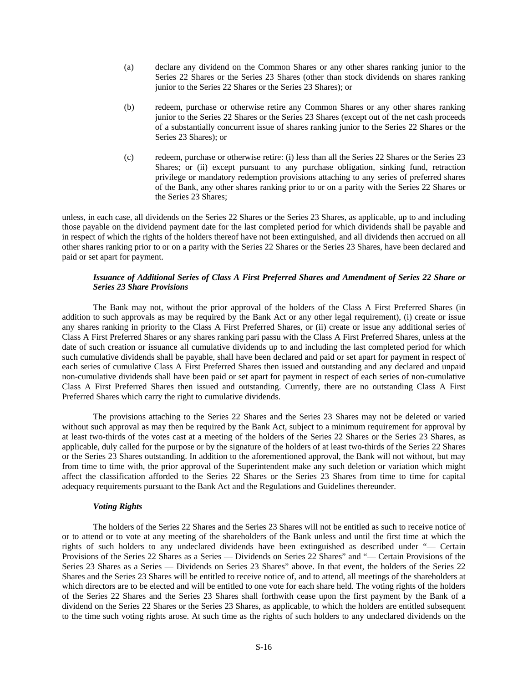- (a) declare any dividend on the Common Shares or any other shares ranking junior to the Series 22 Shares or the Series 23 Shares (other than stock dividends on shares ranking junior to the Series 22 Shares or the Series 23 Shares); or
- (b) redeem, purchase or otherwise retire any Common Shares or any other shares ranking junior to the Series 22 Shares or the Series 23 Shares (except out of the net cash proceeds of a substantially concurrent issue of shares ranking junior to the Series 22 Shares or the Series 23 Shares); or
- (c) redeem, purchase or otherwise retire: (i) less than all the Series 22 Shares or the Series 23 Shares; or (ii) except pursuant to any purchase obligation, sinking fund, retraction privilege or mandatory redemption provisions attaching to any series of preferred shares of the Bank, any other shares ranking prior to or on a parity with the Series 22 Shares or the Series 23 Shares;

unless, in each case, all dividends on the Series 22 Shares or the Series 23 Shares, as applicable, up to and including those payable on the dividend payment date for the last completed period for which dividends shall be payable and in respect of which the rights of the holders thereof have not been extinguished, and all dividends then accrued on all other shares ranking prior to or on a parity with the Series 22 Shares or the Series 23 Shares, have been declared and paid or set apart for payment.

## *Issuance of Additional Series of Class A First Preferred Shares and Amendment of Series 22 Share or Series 23 Share Provisions*

The Bank may not, without the prior approval of the holders of the Class A First Preferred Shares (in addition to such approvals as may be required by the Bank Act or any other legal requirement), (i) create or issue any shares ranking in priority to the Class A First Preferred Shares, or (ii) create or issue any additional series of Class A First Preferred Shares or any shares ranking pari passu with the Class A First Preferred Shares, unless at the date of such creation or issuance all cumulative dividends up to and including the last completed period for which such cumulative dividends shall be payable, shall have been declared and paid or set apart for payment in respect of each series of cumulative Class A First Preferred Shares then issued and outstanding and any declared and unpaid non-cumulative dividends shall have been paid or set apart for payment in respect of each series of non-cumulative Class A First Preferred Shares then issued and outstanding. Currently, there are no outstanding Class A First Preferred Shares which carry the right to cumulative dividends.

The provisions attaching to the Series 22 Shares and the Series 23 Shares may not be deleted or varied without such approval as may then be required by the Bank Act, subject to a minimum requirement for approval by at least two-thirds of the votes cast at a meeting of the holders of the Series 22 Shares or the Series 23 Shares, as applicable, duly called for the purpose or by the signature of the holders of at least two-thirds of the Series 22 Shares or the Series 23 Shares outstanding. In addition to the aforementioned approval, the Bank will not without, but may from time to time with, the prior approval of the Superintendent make any such deletion or variation which might affect the classification afforded to the Series 22 Shares or the Series 23 Shares from time to time for capital adequacy requirements pursuant to the Bank Act and the Regulations and Guidelines thereunder.

### *Voting Rights*

The holders of the Series 22 Shares and the Series 23 Shares will not be entitled as such to receive notice of or to attend or to vote at any meeting of the shareholders of the Bank unless and until the first time at which the rights of such holders to any undeclared dividends have been extinguished as described under "— Certain Provisions of the Series 22 Shares as a Series — Dividends on Series 22 Shares" and "— Certain Provisions of the Series 23 Shares as a Series — Dividends on Series 23 Shares" above. In that event, the holders of the Series 22 Shares and the Series 23 Shares will be entitled to receive notice of, and to attend, all meetings of the shareholders at which directors are to be elected and will be entitled to one vote for each share held. The voting rights of the holders of the Series 22 Shares and the Series 23 Shares shall forthwith cease upon the first payment by the Bank of a dividend on the Series 22 Shares or the Series 23 Shares, as applicable, to which the holders are entitled subsequent to the time such voting rights arose. At such time as the rights of such holders to any undeclared dividends on the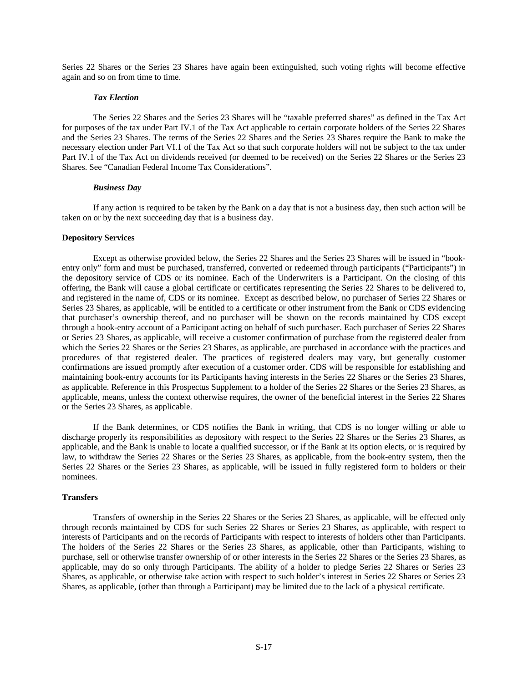Series 22 Shares or the Series 23 Shares have again been extinguished, such voting rights will become effective again and so on from time to time.

#### *Tax Election*

The Series 22 Shares and the Series 23 Shares will be "taxable preferred shares" as defined in the Tax Act for purposes of the tax under Part IV.1 of the Tax Act applicable to certain corporate holders of the Series 22 Shares and the Series 23 Shares. The terms of the Series 22 Shares and the Series 23 Shares require the Bank to make the necessary election under Part VI.1 of the Tax Act so that such corporate holders will not be subject to the tax under Part IV.1 of the Tax Act on dividends received (or deemed to be received) on the Series 22 Shares or the Series 23 Shares. See "Canadian Federal Income Tax Considerations".

#### *Business Day*

If any action is required to be taken by the Bank on a day that is not a business day, then such action will be taken on or by the next succeeding day that is a business day.

### **Depository Services**

Except as otherwise provided below, the Series 22 Shares and the Series 23 Shares will be issued in "bookentry only" form and must be purchased, transferred, converted or redeemed through participants ("Participants") in the depository service of CDS or its nominee. Each of the Underwriters is a Participant. On the closing of this offering, the Bank will cause a global certificate or certificates representing the Series 22 Shares to be delivered to, and registered in the name of, CDS or its nominee. Except as described below, no purchaser of Series 22 Shares or Series 23 Shares, as applicable, will be entitled to a certificate or other instrument from the Bank or CDS evidencing that purchaser's ownership thereof, and no purchaser will be shown on the records maintained by CDS except through a book-entry account of a Participant acting on behalf of such purchaser. Each purchaser of Series 22 Shares or Series 23 Shares, as applicable, will receive a customer confirmation of purchase from the registered dealer from which the Series 22 Shares or the Series 23 Shares, as applicable, are purchased in accordance with the practices and procedures of that registered dealer. The practices of registered dealers may vary, but generally customer confirmations are issued promptly after execution of a customer order. CDS will be responsible for establishing and maintaining book-entry accounts for its Participants having interests in the Series 22 Shares or the Series 23 Shares, as applicable. Reference in this Prospectus Supplement to a holder of the Series 22 Shares or the Series 23 Shares, as applicable, means, unless the context otherwise requires, the owner of the beneficial interest in the Series 22 Shares or the Series 23 Shares, as applicable.

If the Bank determines, or CDS notifies the Bank in writing, that CDS is no longer willing or able to discharge properly its responsibilities as depository with respect to the Series 22 Shares or the Series 23 Shares, as applicable, and the Bank is unable to locate a qualified successor, or if the Bank at its option elects, or is required by law, to withdraw the Series 22 Shares or the Series 23 Shares, as applicable, from the book-entry system, then the Series 22 Shares or the Series 23 Shares, as applicable, will be issued in fully registered form to holders or their nominees.

### **Transfers**

Transfers of ownership in the Series 22 Shares or the Series 23 Shares, as applicable, will be effected only through records maintained by CDS for such Series 22 Shares or Series 23 Shares, as applicable, with respect to interests of Participants and on the records of Participants with respect to interests of holders other than Participants. The holders of the Series 22 Shares or the Series 23 Shares, as applicable, other than Participants, wishing to purchase, sell or otherwise transfer ownership of or other interests in the Series 22 Shares or the Series 23 Shares, as applicable, may do so only through Participants. The ability of a holder to pledge Series 22 Shares or Series 23 Shares, as applicable, or otherwise take action with respect to such holder's interest in Series 22 Shares or Series 23 Shares, as applicable, (other than through a Participant) may be limited due to the lack of a physical certificate.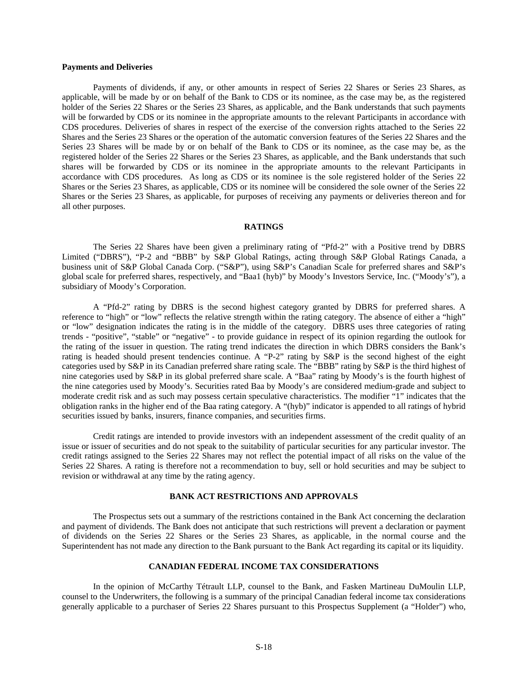#### **Payments and Deliveries**

Payments of dividends, if any, or other amounts in respect of Series 22 Shares or Series 23 Shares, as applicable, will be made by or on behalf of the Bank to CDS or its nominee, as the case may be, as the registered holder of the Series 22 Shares or the Series 23 Shares, as applicable, and the Bank understands that such payments will be forwarded by CDS or its nominee in the appropriate amounts to the relevant Participants in accordance with CDS procedures. Deliveries of shares in respect of the exercise of the conversion rights attached to the Series 22 Shares and the Series 23 Shares or the operation of the automatic conversion features of the Series 22 Shares and the Series 23 Shares will be made by or on behalf of the Bank to CDS or its nominee, as the case may be, as the registered holder of the Series 22 Shares or the Series 23 Shares, as applicable, and the Bank understands that such shares will be forwarded by CDS or its nominee in the appropriate amounts to the relevant Participants in accordance with CDS procedures. As long as CDS or its nominee is the sole registered holder of the Series 22 Shares or the Series 23 Shares, as applicable, CDS or its nominee will be considered the sole owner of the Series 22 Shares or the Series 23 Shares, as applicable, for purposes of receiving any payments or deliveries thereon and for all other purposes.

### **RATINGS**

The Series 22 Shares have been given a preliminary rating of "Pfd-2" with a Positive trend by DBRS Limited ("DBRS"), "P-2 and "BBB" by S&P Global Ratings, acting through S&P Global Ratings Canada, a business unit of S&P Global Canada Corp. ("S&P"), using S&P's Canadian Scale for preferred shares and S&P's global scale for preferred shares, respectively, and "Baa1 (hyb)" by Moody's Investors Service, Inc. ("Moody's"), a subsidiary of Moody's Corporation.

A "Pfd-2" rating by DBRS is the second highest category granted by DBRS for preferred shares. A reference to "high" or "low" reflects the relative strength within the rating category. The absence of either a "high" or "low" designation indicates the rating is in the middle of the category. DBRS uses three categories of rating trends - "positive", "stable" or "negative" - to provide guidance in respect of its opinion regarding the outlook for the rating of the issuer in question. The rating trend indicates the direction in which DBRS considers the Bank's rating is headed should present tendencies continue. A "P-2" rating by S&P is the second highest of the eight categories used by S&P in its Canadian preferred share rating scale. The "BBB" rating by S&P is the third highest of nine categories used by S&P in its global preferred share scale. A "Baa" rating by Moody's is the fourth highest of the nine categories used by Moody's. Securities rated Baa by Moody's are considered medium-grade and subject to moderate credit risk and as such may possess certain speculative characteristics. The modifier "1" indicates that the obligation ranks in the higher end of the Baa rating category. A "(hyb)" indicator is appended to all ratings of hybrid securities issued by banks, insurers, finance companies, and securities firms.

Credit ratings are intended to provide investors with an independent assessment of the credit quality of an issue or issuer of securities and do not speak to the suitability of particular securities for any particular investor. The credit ratings assigned to the Series 22 Shares may not reflect the potential impact of all risks on the value of the Series 22 Shares. A rating is therefore not a recommendation to buy, sell or hold securities and may be subject to revision or withdrawal at any time by the rating agency.

#### **BANK ACT RESTRICTIONS AND APPROVALS**

The Prospectus sets out a summary of the restrictions contained in the Bank Act concerning the declaration and payment of dividends. The Bank does not anticipate that such restrictions will prevent a declaration or payment of dividends on the Series 22 Shares or the Series 23 Shares, as applicable, in the normal course and the Superintendent has not made any direction to the Bank pursuant to the Bank Act regarding its capital or its liquidity.

#### **CANADIAN FEDERAL INCOME TAX CONSIDERATIONS**

In the opinion of McCarthy Tétrault LLP, counsel to the Bank, and Fasken Martineau DuMoulin LLP, counsel to the Underwriters, the following is a summary of the principal Canadian federal income tax considerations generally applicable to a purchaser of Series 22 Shares pursuant to this Prospectus Supplement (a "Holder") who,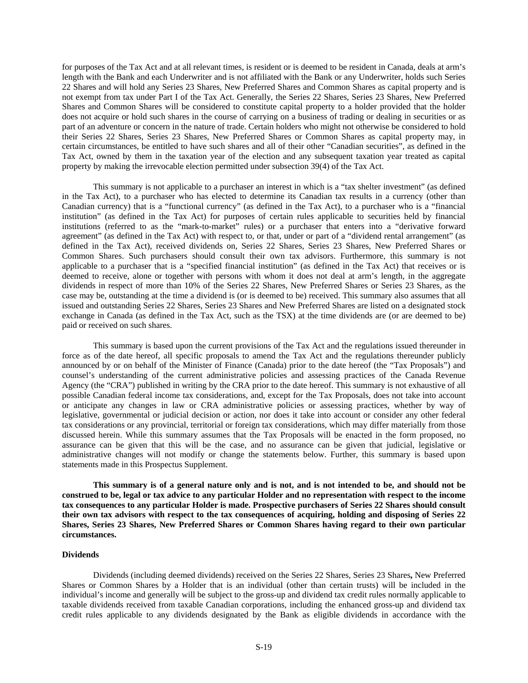for purposes of the Tax Act and at all relevant times, is resident or is deemed to be resident in Canada, deals at arm's length with the Bank and each Underwriter and is not affiliated with the Bank or any Underwriter, holds such Series 22 Shares and will hold any Series 23 Shares, New Preferred Shares and Common Shares as capital property and is not exempt from tax under Part I of the Tax Act. Generally, the Series 22 Shares, Series 23 Shares, New Preferred Shares and Common Shares will be considered to constitute capital property to a holder provided that the holder does not acquire or hold such shares in the course of carrying on a business of trading or dealing in securities or as part of an adventure or concern in the nature of trade. Certain holders who might not otherwise be considered to hold their Series 22 Shares, Series 23 Shares, New Preferred Shares or Common Shares as capital property may, in certain circumstances, be entitled to have such shares and all of their other "Canadian securities", as defined in the Tax Act, owned by them in the taxation year of the election and any subsequent taxation year treated as capital property by making the irrevocable election permitted under subsection 39(4) of the Tax Act.

This summary is not applicable to a purchaser an interest in which is a "tax shelter investment" (as defined in the Tax Act), to a purchaser who has elected to determine its Canadian tax results in a currency (other than Canadian currency) that is a "functional currency" (as defined in the Tax Act), to a purchaser who is a "financial institution" (as defined in the Tax Act) for purposes of certain rules applicable to securities held by financial institutions (referred to as the "mark-to-market" rules) or a purchaser that enters into a "derivative forward agreement" (as defined in the Tax Act) with respect to, or that, under or part of a "dividend rental arrangement" (as defined in the Tax Act), received dividends on, Series 22 Shares, Series 23 Shares, New Preferred Shares or Common Shares. Such purchasers should consult their own tax advisors. Furthermore, this summary is not applicable to a purchaser that is a "specified financial institution" (as defined in the Tax Act) that receives or is deemed to receive, alone or together with persons with whom it does not deal at arm's length, in the aggregate dividends in respect of more than 10% of the Series 22 Shares, New Preferred Shares or Series 23 Shares, as the case may be, outstanding at the time a dividend is (or is deemed to be) received. This summary also assumes that all issued and outstanding Series 22 Shares, Series 23 Shares and New Preferred Shares are listed on a designated stock exchange in Canada (as defined in the Tax Act, such as the TSX) at the time dividends are (or are deemed to be) paid or received on such shares.

This summary is based upon the current provisions of the Tax Act and the regulations issued thereunder in force as of the date hereof, all specific proposals to amend the Tax Act and the regulations thereunder publicly announced by or on behalf of the Minister of Finance (Canada) prior to the date hereof (the "Tax Proposals") and counsel's understanding of the current administrative policies and assessing practices of the Canada Revenue Agency (the "CRA") published in writing by the CRA prior to the date hereof. This summary is not exhaustive of all possible Canadian federal income tax considerations, and, except for the Tax Proposals, does not take into account or anticipate any changes in law or CRA administrative policies or assessing practices, whether by way of legislative, governmental or judicial decision or action, nor does it take into account or consider any other federal tax considerations or any provincial, territorial or foreign tax considerations, which may differ materially from those discussed herein. While this summary assumes that the Tax Proposals will be enacted in the form proposed, no assurance can be given that this will be the case, and no assurance can be given that judicial, legislative or administrative changes will not modify or change the statements below. Further, this summary is based upon statements made in this Prospectus Supplement.

**This summary is of a general nature only and is not, and is not intended to be, and should not be construed to be, legal or tax advice to any particular Holder and no representation with respect to the income tax consequences to any particular Holder is made. Prospective purchasers of Series 22 Shares should consult their own tax advisors with respect to the tax consequences of acquiring, holding and disposing of Series 22 Shares, Series 23 Shares, New Preferred Shares or Common Shares having regard to their own particular circumstances.** 

## **Dividends**

Dividends (including deemed dividends) received on the Series 22 Shares, Series 23 Shares**,** New Preferred Shares or Common Shares by a Holder that is an individual (other than certain trusts) will be included in the individual's income and generally will be subject to the gross-up and dividend tax credit rules normally applicable to taxable dividends received from taxable Canadian corporations, including the enhanced gross-up and dividend tax credit rules applicable to any dividends designated by the Bank as eligible dividends in accordance with the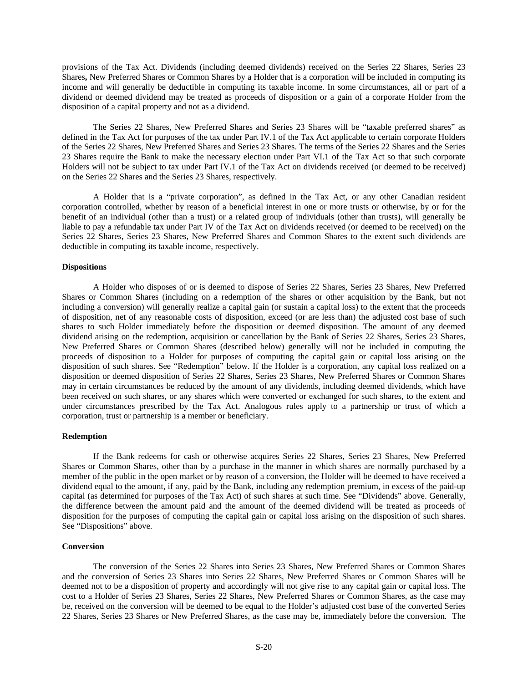provisions of the Tax Act. Dividends (including deemed dividends) received on the Series 22 Shares, Series 23 Shares**,** New Preferred Shares or Common Shares by a Holder that is a corporation will be included in computing its income and will generally be deductible in computing its taxable income. In some circumstances, all or part of a dividend or deemed dividend may be treated as proceeds of disposition or a gain of a corporate Holder from the disposition of a capital property and not as a dividend.

The Series 22 Shares, New Preferred Shares and Series 23 Shares will be "taxable preferred shares" as defined in the Tax Act for purposes of the tax under Part IV.1 of the Tax Act applicable to certain corporate Holders of the Series 22 Shares, New Preferred Shares and Series 23 Shares. The terms of the Series 22 Shares and the Series 23 Shares require the Bank to make the necessary election under Part VI.1 of the Tax Act so that such corporate Holders will not be subject to tax under Part IV.1 of the Tax Act on dividends received (or deemed to be received) on the Series 22 Shares and the Series 23 Shares, respectively.

A Holder that is a "private corporation", as defined in the Tax Act, or any other Canadian resident corporation controlled, whether by reason of a beneficial interest in one or more trusts or otherwise, by or for the benefit of an individual (other than a trust) or a related group of individuals (other than trusts), will generally be liable to pay a refundable tax under Part IV of the Tax Act on dividends received (or deemed to be received) on the Series 22 Shares, Series 23 Shares, New Preferred Shares and Common Shares to the extent such dividends are deductible in computing its taxable income, respectively.

### **Dispositions**

A Holder who disposes of or is deemed to dispose of Series 22 Shares, Series 23 Shares, New Preferred Shares or Common Shares (including on a redemption of the shares or other acquisition by the Bank, but not including a conversion) will generally realize a capital gain (or sustain a capital loss) to the extent that the proceeds of disposition, net of any reasonable costs of disposition, exceed (or are less than) the adjusted cost base of such shares to such Holder immediately before the disposition or deemed disposition. The amount of any deemed dividend arising on the redemption, acquisition or cancellation by the Bank of Series 22 Shares, Series 23 Shares, New Preferred Shares or Common Shares (described below) generally will not be included in computing the proceeds of disposition to a Holder for purposes of computing the capital gain or capital loss arising on the disposition of such shares. See "Redemption" below. If the Holder is a corporation, any capital loss realized on a disposition or deemed disposition of Series 22 Shares, Series 23 Shares, New Preferred Shares or Common Shares may in certain circumstances be reduced by the amount of any dividends, including deemed dividends, which have been received on such shares, or any shares which were converted or exchanged for such shares, to the extent and under circumstances prescribed by the Tax Act. Analogous rules apply to a partnership or trust of which a corporation, trust or partnership is a member or beneficiary.

#### **Redemption**

If the Bank redeems for cash or otherwise acquires Series 22 Shares, Series 23 Shares, New Preferred Shares or Common Shares, other than by a purchase in the manner in which shares are normally purchased by a member of the public in the open market or by reason of a conversion, the Holder will be deemed to have received a dividend equal to the amount, if any, paid by the Bank, including any redemption premium, in excess of the paid-up capital (as determined for purposes of the Tax Act) of such shares at such time. See "Dividends" above. Generally, the difference between the amount paid and the amount of the deemed dividend will be treated as proceeds of disposition for the purposes of computing the capital gain or capital loss arising on the disposition of such shares. See "Dispositions" above.

#### **Conversion**

The conversion of the Series 22 Shares into Series 23 Shares, New Preferred Shares or Common Shares and the conversion of Series 23 Shares into Series 22 Shares, New Preferred Shares or Common Shares will be deemed not to be a disposition of property and accordingly will not give rise to any capital gain or capital loss. The cost to a Holder of Series 23 Shares, Series 22 Shares, New Preferred Shares or Common Shares, as the case may be, received on the conversion will be deemed to be equal to the Holder's adjusted cost base of the converted Series 22 Shares, Series 23 Shares or New Preferred Shares, as the case may be, immediately before the conversion. The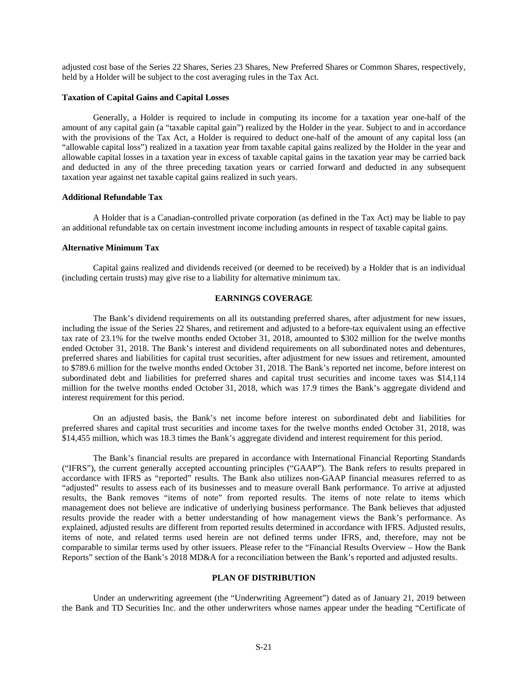adjusted cost base of the Series 22 Shares, Series 23 Shares, New Preferred Shares or Common Shares, respectively, held by a Holder will be subject to the cost averaging rules in the Tax Act.

#### **Taxation of Capital Gains and Capital Losses**

Generally, a Holder is required to include in computing its income for a taxation year one-half of the amount of any capital gain (a "taxable capital gain") realized by the Holder in the year. Subject to and in accordance with the provisions of the Tax Act, a Holder is required to deduct one-half of the amount of any capital loss (an "allowable capital loss") realized in a taxation year from taxable capital gains realized by the Holder in the year and allowable capital losses in a taxation year in excess of taxable capital gains in the taxation year may be carried back and deducted in any of the three preceding taxation years or carried forward and deducted in any subsequent taxation year against net taxable capital gains realized in such years.

#### **Additional Refundable Tax**

A Holder that is a Canadian-controlled private corporation (as defined in the Tax Act) may be liable to pay an additional refundable tax on certain investment income including amounts in respect of taxable capital gains.

#### **Alternative Minimum Tax**

Capital gains realized and dividends received (or deemed to be received) by a Holder that is an individual (including certain trusts) may give rise to a liability for alternative minimum tax.

## **EARNINGS COVERAGE**

The Bank's dividend requirements on all its outstanding preferred shares, after adjustment for new issues, including the issue of the Series 22 Shares, and retirement and adjusted to a before-tax equivalent using an effective tax rate of 23.1% for the twelve months ended October 31, 2018, amounted to \$302 million for the twelve months ended October 31, 2018. The Bank's interest and dividend requirements on all subordinated notes and debentures, preferred shares and liabilities for capital trust securities, after adjustment for new issues and retirement, amounted to \$789.6 million for the twelve months ended October 31, 2018. The Bank's reported net income, before interest on subordinated debt and liabilities for preferred shares and capital trust securities and income taxes was \$14,114 million for the twelve months ended October 31, 2018, which was 17.9 times the Bank's aggregate dividend and interest requirement for this period.

On an adjusted basis, the Bank's net income before interest on subordinated debt and liabilities for preferred shares and capital trust securities and income taxes for the twelve months ended October 31, 2018, was \$14,455 million, which was 18.3 times the Bank's aggregate dividend and interest requirement for this period.

The Bank's financial results are prepared in accordance with International Financial Reporting Standards ("IFRS"), the current generally accepted accounting principles ("GAAP"). The Bank refers to results prepared in accordance with IFRS as "reported" results. The Bank also utilizes non-GAAP financial measures referred to as "adjusted" results to assess each of its businesses and to measure overall Bank performance. To arrive at adjusted results, the Bank removes "items of note" from reported results. The items of note relate to items which management does not believe are indicative of underlying business performance. The Bank believes that adjusted results provide the reader with a better understanding of how management views the Bank's performance. As explained, adjusted results are different from reported results determined in accordance with IFRS. Adjusted results, items of note, and related terms used herein are not defined terms under IFRS, and, therefore, may not be comparable to similar terms used by other issuers. Please refer to the "Financial Results Overview – How the Bank Reports" section of the Bank's 2018 MD&A for a reconciliation between the Bank's reported and adjusted results.

#### **PLAN OF DISTRIBUTION**

Under an underwriting agreement (the "Underwriting Agreement") dated as of January 21, 2019 between the Bank and TD Securities Inc. and the other underwriters whose names appear under the heading "Certificate of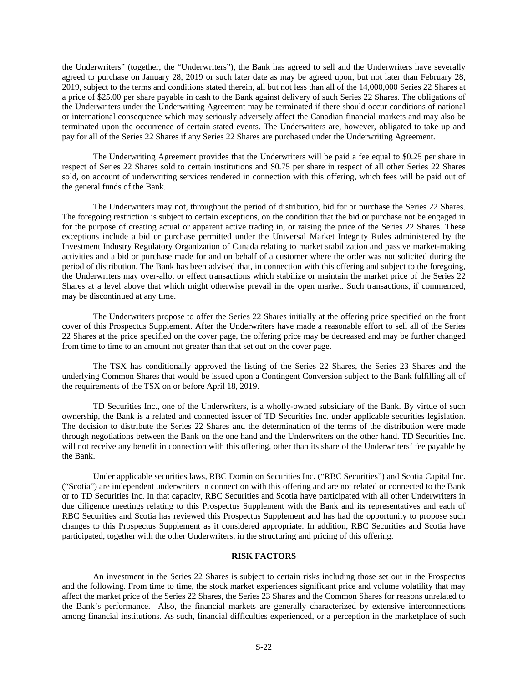the Underwriters" (together, the "Underwriters"), the Bank has agreed to sell and the Underwriters have severally agreed to purchase on January 28, 2019 or such later date as may be agreed upon, but not later than February 28, 2019, subject to the terms and conditions stated therein, all but not less than all of the 14,000,000 Series 22 Shares at a price of \$25.00 per share payable in cash to the Bank against delivery of such Series 22 Shares. The obligations of the Underwriters under the Underwriting Agreement may be terminated if there should occur conditions of national or international consequence which may seriously adversely affect the Canadian financial markets and may also be terminated upon the occurrence of certain stated events. The Underwriters are, however, obligated to take up and pay for all of the Series 22 Shares if any Series 22 Shares are purchased under the Underwriting Agreement.

The Underwriting Agreement provides that the Underwriters will be paid a fee equal to \$0.25 per share in respect of Series 22 Shares sold to certain institutions and \$0.75 per share in respect of all other Series 22 Shares sold, on account of underwriting services rendered in connection with this offering, which fees will be paid out of the general funds of the Bank.

The Underwriters may not, throughout the period of distribution, bid for or purchase the Series 22 Shares. The foregoing restriction is subject to certain exceptions, on the condition that the bid or purchase not be engaged in for the purpose of creating actual or apparent active trading in, or raising the price of the Series 22 Shares. These exceptions include a bid or purchase permitted under the Universal Market Integrity Rules administered by the Investment Industry Regulatory Organization of Canada relating to market stabilization and passive market-making activities and a bid or purchase made for and on behalf of a customer where the order was not solicited during the period of distribution. The Bank has been advised that, in connection with this offering and subject to the foregoing, the Underwriters may over-allot or effect transactions which stabilize or maintain the market price of the Series 22 Shares at a level above that which might otherwise prevail in the open market. Such transactions, if commenced, may be discontinued at any time.

The Underwriters propose to offer the Series 22 Shares initially at the offering price specified on the front cover of this Prospectus Supplement. After the Underwriters have made a reasonable effort to sell all of the Series 22 Shares at the price specified on the cover page, the offering price may be decreased and may be further changed from time to time to an amount not greater than that set out on the cover page.

The TSX has conditionally approved the listing of the Series 22 Shares, the Series 23 Shares and the underlying Common Shares that would be issued upon a Contingent Conversion subject to the Bank fulfilling all of the requirements of the TSX on or before April 18, 2019.

TD Securities Inc., one of the Underwriters, is a wholly-owned subsidiary of the Bank. By virtue of such ownership, the Bank is a related and connected issuer of TD Securities Inc. under applicable securities legislation. The decision to distribute the Series 22 Shares and the determination of the terms of the distribution were made through negotiations between the Bank on the one hand and the Underwriters on the other hand. TD Securities Inc. will not receive any benefit in connection with this offering, other than its share of the Underwriters' fee payable by the Bank.

Under applicable securities laws, RBC Dominion Securities Inc. ("RBC Securities") and Scotia Capital Inc. ("Scotia") are independent underwriters in connection with this offering and are not related or connected to the Bank or to TD Securities Inc. In that capacity, RBC Securities and Scotia have participated with all other Underwriters in due diligence meetings relating to this Prospectus Supplement with the Bank and its representatives and each of RBC Securities and Scotia has reviewed this Prospectus Supplement and has had the opportunity to propose such changes to this Prospectus Supplement as it considered appropriate. In addition, RBC Securities and Scotia have participated, together with the other Underwriters, in the structuring and pricing of this offering.

## **RISK FACTORS**

An investment in the Series 22 Shares is subject to certain risks including those set out in the Prospectus and the following. From time to time, the stock market experiences significant price and volume volatility that may affect the market price of the Series 22 Shares, the Series 23 Shares and the Common Shares for reasons unrelated to the Bank's performance. Also, the financial markets are generally characterized by extensive interconnections among financial institutions. As such, financial difficulties experienced, or a perception in the marketplace of such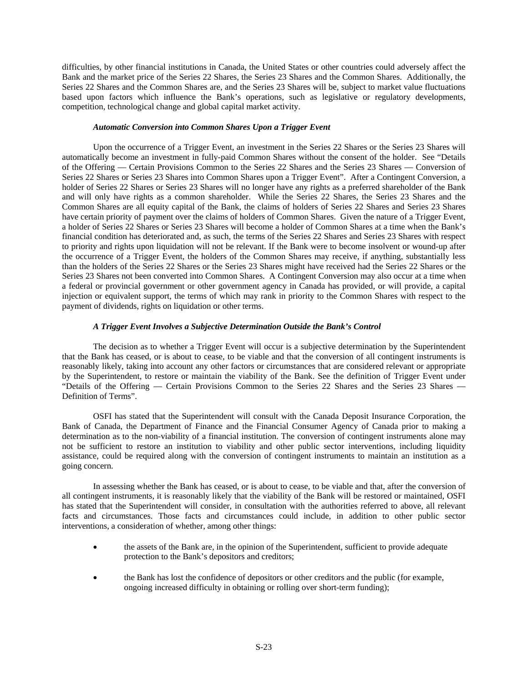difficulties, by other financial institutions in Canada, the United States or other countries could adversely affect the Bank and the market price of the Series 22 Shares, the Series 23 Shares and the Common Shares. Additionally, the Series 22 Shares and the Common Shares are, and the Series 23 Shares will be, subject to market value fluctuations based upon factors which influence the Bank's operations, such as legislative or regulatory developments, competition, technological change and global capital market activity.

## *Automatic Conversion into Common Shares Upon a Trigger Event*

Upon the occurrence of a Trigger Event, an investment in the Series 22 Shares or the Series 23 Shares will automatically become an investment in fully-paid Common Shares without the consent of the holder. See "Details of the Offering — Certain Provisions Common to the Series 22 Shares and the Series 23 Shares — Conversion of Series 22 Shares or Series 23 Shares into Common Shares upon a Trigger Event". After a Contingent Conversion, a holder of Series 22 Shares or Series 23 Shares will no longer have any rights as a preferred shareholder of the Bank and will only have rights as a common shareholder. While the Series 22 Shares, the Series 23 Shares and the Common Shares are all equity capital of the Bank, the claims of holders of Series 22 Shares and Series 23 Shares have certain priority of payment over the claims of holders of Common Shares. Given the nature of a Trigger Event, a holder of Series 22 Shares or Series 23 Shares will become a holder of Common Shares at a time when the Bank's financial condition has deteriorated and, as such, the terms of the Series 22 Shares and Series 23 Shares with respect to priority and rights upon liquidation will not be relevant. If the Bank were to become insolvent or wound-up after the occurrence of a Trigger Event, the holders of the Common Shares may receive, if anything, substantially less than the holders of the Series 22 Shares or the Series 23 Shares might have received had the Series 22 Shares or the Series 23 Shares not been converted into Common Shares. A Contingent Conversion may also occur at a time when a federal or provincial government or other government agency in Canada has provided, or will provide, a capital injection or equivalent support, the terms of which may rank in priority to the Common Shares with respect to the payment of dividends, rights on liquidation or other terms.

## *A Trigger Event Involves a Subjective Determination Outside the Bank's Control*

The decision as to whether a Trigger Event will occur is a subjective determination by the Superintendent that the Bank has ceased, or is about to cease, to be viable and that the conversion of all contingent instruments is reasonably likely, taking into account any other factors or circumstances that are considered relevant or appropriate by the Superintendent, to restore or maintain the viability of the Bank. See the definition of Trigger Event under "Details of the Offering — Certain Provisions Common to the Series 22 Shares and the Series 23 Shares — Definition of Terms".

OSFI has stated that the Superintendent will consult with the Canada Deposit Insurance Corporation, the Bank of Canada, the Department of Finance and the Financial Consumer Agency of Canada prior to making a determination as to the non-viability of a financial institution. The conversion of contingent instruments alone may not be sufficient to restore an institution to viability and other public sector interventions, including liquidity assistance, could be required along with the conversion of contingent instruments to maintain an institution as a going concern.

In assessing whether the Bank has ceased, or is about to cease, to be viable and that, after the conversion of all contingent instruments, it is reasonably likely that the viability of the Bank will be restored or maintained, OSFI has stated that the Superintendent will consider, in consultation with the authorities referred to above, all relevant facts and circumstances. Those facts and circumstances could include, in addition to other public sector interventions, a consideration of whether, among other things:

- the assets of the Bank are, in the opinion of the Superintendent, sufficient to provide adequate protection to the Bank's depositors and creditors;
- the Bank has lost the confidence of depositors or other creditors and the public (for example, ongoing increased difficulty in obtaining or rolling over short-term funding);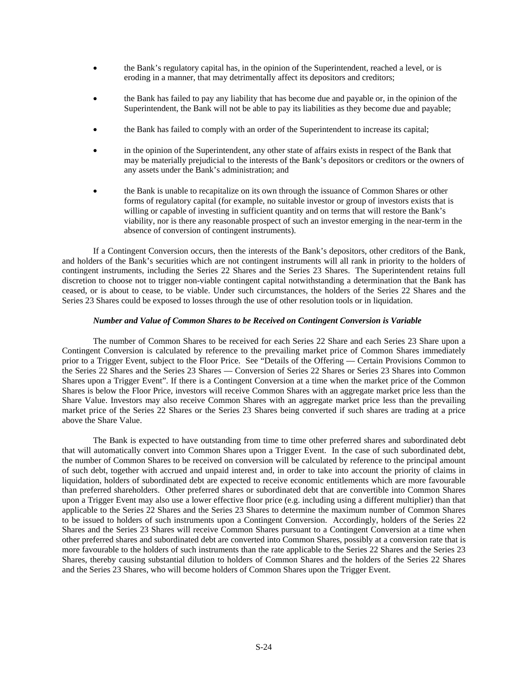- the Bank's regulatory capital has, in the opinion of the Superintendent, reached a level, or is eroding in a manner, that may detrimentally affect its depositors and creditors;
- the Bank has failed to pay any liability that has become due and payable or, in the opinion of the Superintendent, the Bank will not be able to pay its liabilities as they become due and payable;
- the Bank has failed to comply with an order of the Superintendent to increase its capital;
- in the opinion of the Superintendent, any other state of affairs exists in respect of the Bank that may be materially prejudicial to the interests of the Bank's depositors or creditors or the owners of any assets under the Bank's administration; and
- the Bank is unable to recapitalize on its own through the issuance of Common Shares or other forms of regulatory capital (for example, no suitable investor or group of investors exists that is willing or capable of investing in sufficient quantity and on terms that will restore the Bank's viability, nor is there any reasonable prospect of such an investor emerging in the near-term in the absence of conversion of contingent instruments).

If a Contingent Conversion occurs, then the interests of the Bank's depositors, other creditors of the Bank, and holders of the Bank's securities which are not contingent instruments will all rank in priority to the holders of contingent instruments, including the Series 22 Shares and the Series 23 Shares. The Superintendent retains full discretion to choose not to trigger non-viable contingent capital notwithstanding a determination that the Bank has ceased, or is about to cease, to be viable. Under such circumstances, the holders of the Series 22 Shares and the Series 23 Shares could be exposed to losses through the use of other resolution tools or in liquidation.

### *Number and Value of Common Shares to be Received on Contingent Conversion is Variable*

The number of Common Shares to be received for each Series 22 Share and each Series 23 Share upon a Contingent Conversion is calculated by reference to the prevailing market price of Common Shares immediately prior to a Trigger Event, subject to the Floor Price. See "Details of the Offering — Certain Provisions Common to the Series 22 Shares and the Series 23 Shares — Conversion of Series 22 Shares or Series 23 Shares into Common Shares upon a Trigger Event". If there is a Contingent Conversion at a time when the market price of the Common Shares is below the Floor Price, investors will receive Common Shares with an aggregate market price less than the Share Value. Investors may also receive Common Shares with an aggregate market price less than the prevailing market price of the Series 22 Shares or the Series 23 Shares being converted if such shares are trading at a price above the Share Value.

The Bank is expected to have outstanding from time to time other preferred shares and subordinated debt that will automatically convert into Common Shares upon a Trigger Event. In the case of such subordinated debt, the number of Common Shares to be received on conversion will be calculated by reference to the principal amount of such debt, together with accrued and unpaid interest and, in order to take into account the priority of claims in liquidation, holders of subordinated debt are expected to receive economic entitlements which are more favourable than preferred shareholders. Other preferred shares or subordinated debt that are convertible into Common Shares upon a Trigger Event may also use a lower effective floor price (e.g. including using a different multiplier) than that applicable to the Series 22 Shares and the Series 23 Shares to determine the maximum number of Common Shares to be issued to holders of such instruments upon a Contingent Conversion. Accordingly, holders of the Series 22 Shares and the Series 23 Shares will receive Common Shares pursuant to a Contingent Conversion at a time when other preferred shares and subordinated debt are converted into Common Shares, possibly at a conversion rate that is more favourable to the holders of such instruments than the rate applicable to the Series 22 Shares and the Series 23 Shares, thereby causing substantial dilution to holders of Common Shares and the holders of the Series 22 Shares and the Series 23 Shares, who will become holders of Common Shares upon the Trigger Event.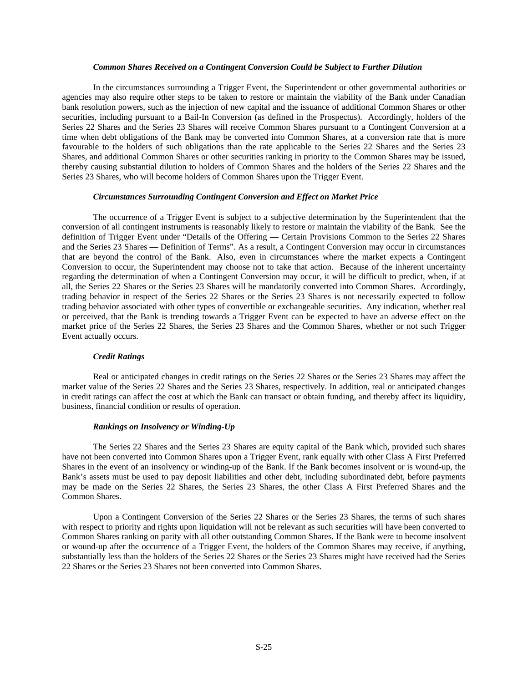### *Common Shares Received on a Contingent Conversion Could be Subject to Further Dilution*

In the circumstances surrounding a Trigger Event, the Superintendent or other governmental authorities or agencies may also require other steps to be taken to restore or maintain the viability of the Bank under Canadian bank resolution powers, such as the injection of new capital and the issuance of additional Common Shares or other securities, including pursuant to a Bail-In Conversion (as defined in the Prospectus). Accordingly, holders of the Series 22 Shares and the Series 23 Shares will receive Common Shares pursuant to a Contingent Conversion at a time when debt obligations of the Bank may be converted into Common Shares, at a conversion rate that is more favourable to the holders of such obligations than the rate applicable to the Series 22 Shares and the Series 23 Shares, and additional Common Shares or other securities ranking in priority to the Common Shares may be issued, thereby causing substantial dilution to holders of Common Shares and the holders of the Series 22 Shares and the Series 23 Shares, who will become holders of Common Shares upon the Trigger Event.

#### *Circumstances Surrounding Contingent Conversion and Effect on Market Price*

The occurrence of a Trigger Event is subject to a subjective determination by the Superintendent that the conversion of all contingent instruments is reasonably likely to restore or maintain the viability of the Bank. See the definition of Trigger Event under "Details of the Offering — Certain Provisions Common to the Series 22 Shares and the Series 23 Shares — Definition of Terms". As a result, a Contingent Conversion may occur in circumstances that are beyond the control of the Bank. Also, even in circumstances where the market expects a Contingent Conversion to occur, the Superintendent may choose not to take that action. Because of the inherent uncertainty regarding the determination of when a Contingent Conversion may occur, it will be difficult to predict, when, if at all, the Series 22 Shares or the Series 23 Shares will be mandatorily converted into Common Shares. Accordingly, trading behavior in respect of the Series 22 Shares or the Series 23 Shares is not necessarily expected to follow trading behavior associated with other types of convertible or exchangeable securities. Any indication, whether real or perceived, that the Bank is trending towards a Trigger Event can be expected to have an adverse effect on the market price of the Series 22 Shares, the Series 23 Shares and the Common Shares, whether or not such Trigger Event actually occurs.

#### *Credit Ratings*

Real or anticipated changes in credit ratings on the Series 22 Shares or the Series 23 Shares may affect the market value of the Series 22 Shares and the Series 23 Shares, respectively. In addition, real or anticipated changes in credit ratings can affect the cost at which the Bank can transact or obtain funding, and thereby affect its liquidity, business, financial condition or results of operation.

## *Rankings on Insolvency or Winding-Up*

The Series 22 Shares and the Series 23 Shares are equity capital of the Bank which, provided such shares have not been converted into Common Shares upon a Trigger Event, rank equally with other Class A First Preferred Shares in the event of an insolvency or winding-up of the Bank. If the Bank becomes insolvent or is wound-up, the Bank's assets must be used to pay deposit liabilities and other debt, including subordinated debt, before payments may be made on the Series 22 Shares, the Series 23 Shares, the other Class A First Preferred Shares and the Common Shares.

Upon a Contingent Conversion of the Series 22 Shares or the Series 23 Shares, the terms of such shares with respect to priority and rights upon liquidation will not be relevant as such securities will have been converted to Common Shares ranking on parity with all other outstanding Common Shares. If the Bank were to become insolvent or wound-up after the occurrence of a Trigger Event, the holders of the Common Shares may receive, if anything, substantially less than the holders of the Series 22 Shares or the Series 23 Shares might have received had the Series 22 Shares or the Series 23 Shares not been converted into Common Shares.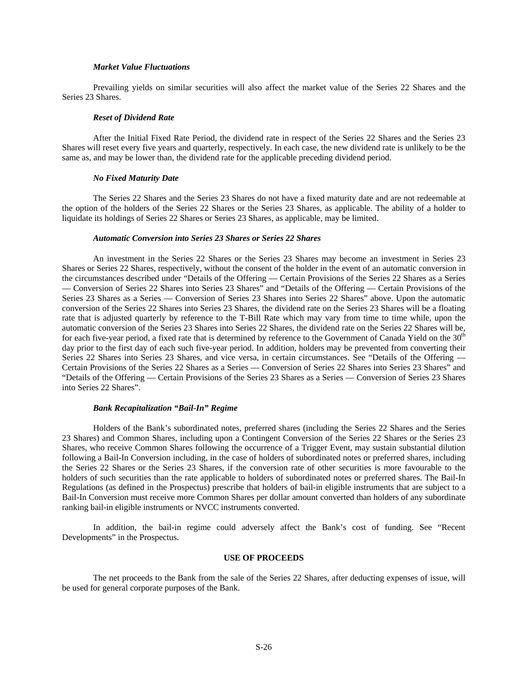## *Market Value Fluctuations*

Prevailing yields on similar securities will also affect the market value of the Series 22 Shares and the Series 23 Shares.

#### *Reset of Dividend Rate*

After the Initial Fixed Rate Period, the dividend rate in respect of the Series 22 Shares and the Series 23 Shares will reset every five years and quarterly, respectively. In each case, the new dividend rate is unlikely to be the same as, and may be lower than, the dividend rate for the applicable preceding dividend period.

#### *No Fixed Maturity Date*

The Series 22 Shares and the Series 23 Shares do not have a fixed maturity date and are not redeemable at the option of the holders of the Series 22 Shares or the Series 23 Shares, as applicable. The ability of a holder to liquidate its holdings of Series 22 Shares or Series 23 Shares, as applicable, may be limited.

### *Automatic Conversion into Series 23 Shares or Series 22 Shares*

An investment in the Series 22 Shares or the Series 23 Shares may become an investment in Series 23 Shares or Series 22 Shares, respectively, without the consent of the holder in the event of an automatic conversion in the circumstances described under "Details of the Offering — Certain Provisions of the Series 22 Shares as a Series — Conversion of Series 22 Shares into Series 23 Shares" and "Details of the Offering — Certain Provisions of the Series 23 Shares as a Series — Conversion of Series 23 Shares into Series 22 Shares" above. Upon the automatic conversion of the Series 22 Shares into Series 23 Shares, the dividend rate on the Series 23 Shares will be a floating rate that is adjusted quarterly by reference to the T-Bill Rate which may vary from time to time while, upon the automatic conversion of the Series 23 Shares into Series 22 Shares, the dividend rate on the Series 22 Shares will be, for each five-year period, a fixed rate that is determined by reference to the Government of Canada Yield on the  $30<sup>th</sup>$ day prior to the first day of each such five-year period. In addition, holders may be prevented from converting their Series 22 Shares into Series 23 Shares, and vice versa, in certain circumstances. See "Details of the Offering — Certain Provisions of the Series 22 Shares as a Series — Conversion of Series 22 Shares into Series 23 Shares" and "Details of the Offering — Certain Provisions of the Series 23 Shares as a Series — Conversion of Series 23 Shares into Series 22 Shares".

### *Bank Recapitalization "Bail-In" Regime*

Holders of the Bank's subordinated notes, preferred shares (including the Series 22 Shares and the Series 23 Shares) and Common Shares, including upon a Contingent Conversion of the Series 22 Shares or the Series 23 Shares, who receive Common Shares following the occurrence of a Trigger Event, may sustain substantial dilution following a Bail-In Conversion including, in the case of holders of subordinated notes or preferred shares, including the Series 22 Shares or the Series 23 Shares, if the conversion rate of other securities is more favourable to the holders of such securities than the rate applicable to holders of subordinated notes or preferred shares. The Bail-In Regulations (as defined in the Prospectus) prescribe that holders of bail-in eligible instruments that are subject to a Bail-In Conversion must receive more Common Shares per dollar amount converted than holders of any subordinate ranking bail-in eligible instruments or NVCC instruments converted.

In addition, the bail-in regime could adversely affect the Bank's cost of funding. See "Recent Developments" in the Prospectus.

#### **USE OF PROCEEDS**

The net proceeds to the Bank from the sale of the Series 22 Shares, after deducting expenses of issue, will be used for general corporate purposes of the Bank.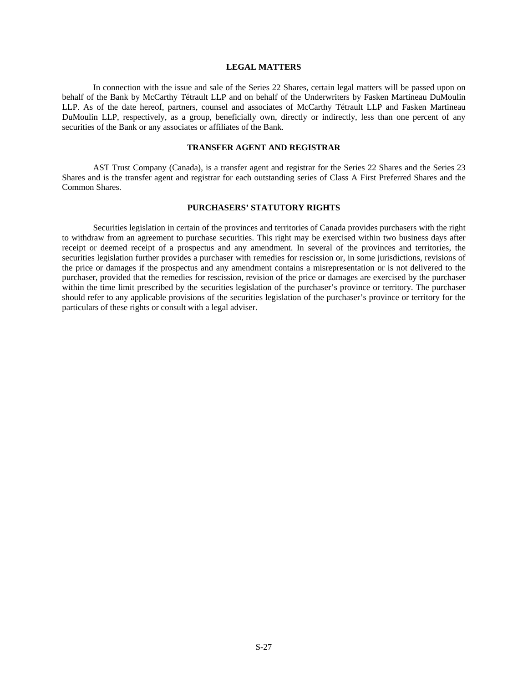## **LEGAL MATTERS**

In connection with the issue and sale of the Series 22 Shares, certain legal matters will be passed upon on behalf of the Bank by McCarthy Tétrault LLP and on behalf of the Underwriters by Fasken Martineau DuMoulin LLP. As of the date hereof, partners, counsel and associates of McCarthy Tétrault LLP and Fasken Martineau DuMoulin LLP, respectively, as a group, beneficially own, directly or indirectly, less than one percent of any securities of the Bank or any associates or affiliates of the Bank.

## **TRANSFER AGENT AND REGISTRAR**

AST Trust Company (Canada), is a transfer agent and registrar for the Series 22 Shares and the Series 23 Shares and is the transfer agent and registrar for each outstanding series of Class A First Preferred Shares and the Common Shares.

#### **PURCHASERS' STATUTORY RIGHTS**

Securities legislation in certain of the provinces and territories of Canada provides purchasers with the right to withdraw from an agreement to purchase securities. This right may be exercised within two business days after receipt or deemed receipt of a prospectus and any amendment. In several of the provinces and territories, the securities legislation further provides a purchaser with remedies for rescission or, in some jurisdictions, revisions of the price or damages if the prospectus and any amendment contains a misrepresentation or is not delivered to the purchaser, provided that the remedies for rescission, revision of the price or damages are exercised by the purchaser within the time limit prescribed by the securities legislation of the purchaser's province or territory. The purchaser should refer to any applicable provisions of the securities legislation of the purchaser's province or territory for the particulars of these rights or consult with a legal adviser.